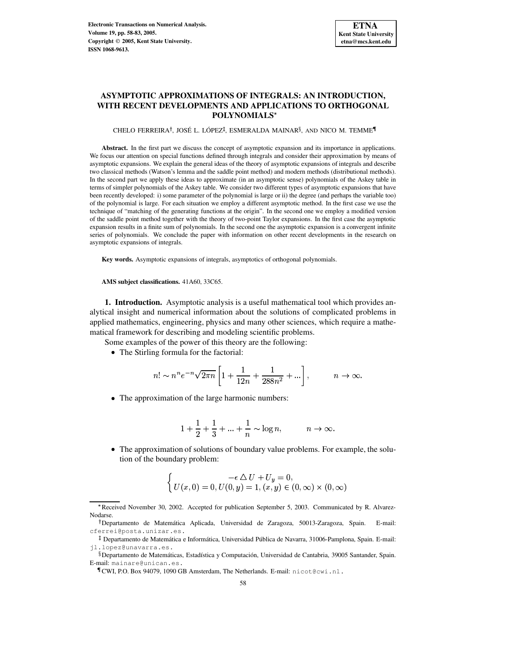# **ASYMPTOTIC APPROXIMATIONS OF INTEGRALS: AN INTRODUCTION, WITH RECENT DEVELOPMENTS AND APPLICATIONS TO ORTHOGONAL POLYNOMIALS**

CHELO FERREIRA†, JOSÉ L. LÓPEZ‡, ESMERALDA MAINAR§, AND NICO M. TEMME¶

**Abstract.** In the first part we discuss the concept of asymptotic expansion and its importance in applications. We focus our attention on special functions defined through integrals and consider their approximation by means of asymptotic expansions. We explain the general ideas of the theory of asymptotic expansions of integrals and describe two classical methods (Watson's lemma and the saddle point method) and modern methods (distributional methods). In the second part we apply these ideas to approximate (in an asymptotic sense) polynomials of the Askey table in terms of simpler polynomials of the Askey table. We consider two different types of asymptotic expansions that have been recently developed: i) some parameter of the polynomial is large or ii) the degree (and perhaps the variable too) of the polynomial is large. For each situation we employ a different asymptotic method. In the first case we use the technique of "matching of the generating functions at the origin". In the second one we employ a modified version of the saddle point method together with the theory of two-point Taylor expansions. In the first case the asymptotic expansion results in a finite sum of polynomials. In the second one the asymptotic expansion is a convergent infinite series of polynomials. We conclude the paper with information on other recent developments in the research on asymptotic expansions of integrals.

**Key words.** Asymptotic expansions of integrals, asymptotics of orthogonal polynomials.

**AMS subject classifications.** 41A60, 33C65.

**1. Introduction.** Asymptotic analysis is a useful mathematical tool which provides analytical insight and numerical information about the solutions of complicated problems in applied mathematics, engineering, physics and many other sciences, which require a mathematical framework for describing and modeling scientific problems.

Some examples of the power of this theory are the following:

The Stirling formula for the factorial:

$$
n! \sim n^n e^{-n} \sqrt{2\pi n} \left[ 1 + \frac{1}{12n} + \frac{1}{288n^2} + \ldots \right], \qquad n \to \infty.
$$

The approximation of the large harmonic numbers:

$$
1 + \frac{1}{2} + \frac{1}{3} + \dots + \frac{1}{n} \sim \log n, \qquad n \to \infty.
$$

 The approximation of solutions of boundary value problems. For example, the solution of the boundary problem:

$$
\begin{cases}\n- \epsilon \Delta U + U_y = 0, \\
U(x, 0) = 0, U(0, y) = 1, (x, y) \in (0, \infty) \times (0, \infty)\n\end{cases}
$$

<sup>\*</sup> Received November 30, 2002. Accepted for publication September 5, 2003. Communicated by R. Alvarez-Nodarse.

<sup>&</sup>lt;sup>†</sup> Departamento de Matemática Aplicada, Universidad de Zaragoza, 50013-Zaragoza, Spain. E-mail: cferrei@posta.unizar.es.

<sup>&</sup>lt;sup>‡</sup> Departamento de Matemática e Informática, Universidad Pública de Navarra, 31006-Pamplona, Spain. E-mail: jl.lopez@unavarra.es.

<sup>&</sup>lt;sup>8</sup> Departamento de Matemáticas, Estadística y Computación, Universidad de Cantabria, 39005 Santander, Spain. E-mail: mainare@unican.es.

CWI, P.O. Box 94079, 1090 GB Amsterdam, The Netherlands. E-mail: nicot@cwi.nl.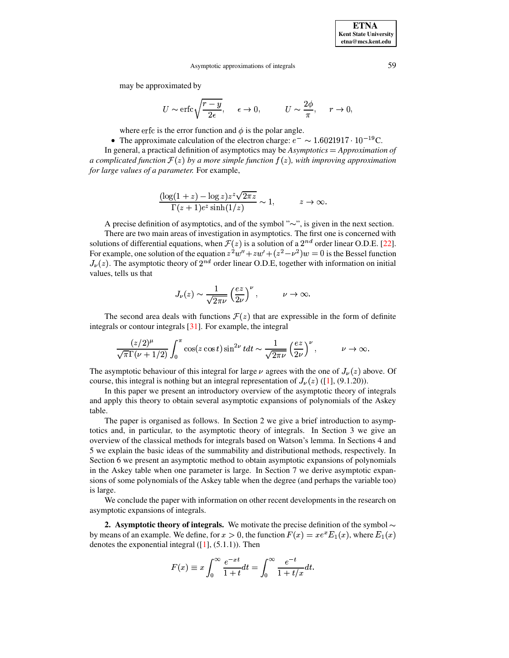may be approximated by

$$
U \sim \text{erfc}\sqrt{\frac{r-y}{2\epsilon}}, \quad \epsilon \to 0, \qquad U \sim \frac{2\phi}{\pi}, \quad r \to 0,
$$

where erfc is the error function and  $\phi$  is the polar angle.

• The approximate calculation of the electron charge:  $e^- \sim 1.6021917 \cdot 10^{-19}$ C.

In general, a practical definition of asymptotics may be *Asymptotics* <sup>&</sup>lt; *Approximation of a* complicated function  $\mathcal{F}(z)$  by a more simple function  $f(z)$ , with improving approximation *for large values of a parameter.* For example,

$$
\frac{(\log(1+z) - \log z)z^z \sqrt{2\pi z}}{\Gamma(z+1)e^z \sinh(1/z)} \sim 1, \qquad z \to \infty.
$$

A precise definition of asymptotics, and of the symbol " $\sim$ ", is given in the next section. There are two main areas of investigation in asymptotics. The first one is concerned with

solutions of differential equations, when  $\mathcal{F}(z)$  is a solution of a  $2^{nd}$  order linear O.D.E. [\[22\]](#page-25-0). For example, one solution of the equation  $z^2w'' + zw' + (z^2 - \nu^2)w = 0$  is the Bessel function  $J_{\nu}(z)$ . The asymptotic theory of  $2^{nd}$  order linear O.D.E, together with information on initial values, tells us that

$$
J_{\nu}(z) \sim \frac{1}{\sqrt{2\pi\nu}} \left(\frac{ez}{2\nu}\right)^{\nu}, \qquad \nu \to \infty.
$$

The second area deals with functions  $\mathcal{F}(z)$  that are expressible in the form of definite integrals or contour integrals [\[31\]](#page-25-1). For example, the integral

$$
\frac{(z/2)^{\mu}}{\sqrt{\pi}\Gamma(\nu+1/2)}\int_0^{\pi}\cos(z\cos t)\sin^{2\nu}t dt \sim \frac{1}{\sqrt{2\pi\nu}}\left(\frac{ez}{2\nu}\right)^{\nu}, \qquad \nu \to \infty.
$$

The asymptotic behaviour of this integral for large  $\nu$  agrees with the one of  $J_{\nu}(z)$  above. Of course, this integral is nothing but an integral representation of  $J_{\nu}(z)$  ([\[1\]](#page-24-0), (9.1.20)).

In this paper we present an introductory overview of the asymptotic theory of integrals and apply this theory to obtain several asymptotic expansions of polynomials of the Askey table.

The paper is organised as follows. In Section 2 we give a brief introduction to asymptotics and, in particular, to the asymptotic theory of integrals. In Section 3 we give an overview of the classical methods for integrals based on Watson's lemma. In Sections 4 and 5 we explain the basic ideas of the summability and distributional methods, respectively. In Section 6 we present an asymptotic method to obtain asymptotic expansions of polynomials in the Askey table when one parameter is large. In Section 7 we derive asymptotic expansions of some polynomials of the Askey table when the degree (and perhaps the variable too) is large.

We conclude the paper with information on other recent developments in the research on asymptotic expansions of integrals.

**2. Asymptotic theory of integrals.** We motivate the precise definition of the symbol  $\sim$ by means of an example. We define, for  $x > 0$ , the function  $F(x) = xe^{x}E_{1}(x)$ , where  $E_{1}(x)$  $(x)$ , where  $E_1(x)$ denotes the exponential integral  $([1], (5.1.1))$  $([1], (5.1.1))$  $([1], (5.1.1))$ . Then

$$
F(x) \equiv x \int_0^\infty \frac{e^{-xt}}{1+t} dt = \int_0^\infty \frac{e^{-t}}{1+t/x} dt.
$$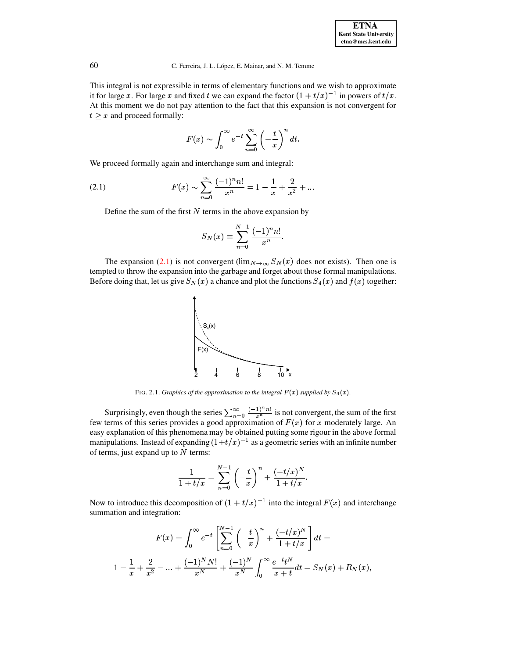This integral is not expressible in terms of elementary functions and we wish to approximate it for large x. For large x and fixed t we can expand the factor  $(1 + t/x)^{-1}$  in powers of  $t/x$ . At this moment we do not pay attention to the fact that this expansion is not convergent for  $t \geq x$  and proceed formally:

$$
F(x) \sim \int_0^\infty e^{-t} \sum_{n=0}^\infty \left(-\frac{t}{x}\right)^n dt.
$$

We proceed formally again and interchange sum and integral:

<span id="page-2-0"></span>(2.1) 
$$
F(x) \sim \sum_{n=0}^{\infty} \frac{(-1)^n n!}{x^n} = 1 - \frac{1}{x} + \frac{2}{x^2} + \dots
$$

Define the sum of the first  $N$  terms in the above expansion by

$$
S_N(x) \equiv \sum_{n=0}^{N-1} \frac{(-1)^n n!}{x^n}.
$$

The expansion [\(2.1\)](#page-2-0) is not convergent ( $\lim_{N\to\infty} S_N(x)$  does not exists). Then one is tempted to throw the expansion into the garbage and forget about those formal manipulations. Before doing that, let us give  $S_N(x)$  a chance and plot the functions  $S_4(x)$  and  $f(x)$  together:



FIG. 2.1. *Graphics of the approximation to the integral*  $F(x)$  *supplied by*  $S_4(x)$ *.* 

Surprisingly, even though the series  $\sum_{n=0}^{\infty} \frac{(-1)^n n!}{x^n}$  is not convergent, the sum of the first few terms of this series provides a good approximation of  $F(x)$  for x moderately large. An easy explanation of this phenomena may be obtained putting some rigour in the above formal manipulations. Instead of expanding  $(1+t/x)^{-1}$  as a geometric series with an infinite number of terms, just expand up to  $N$  terms:

$$
\frac{1}{1+t/x} = \sum_{n=0}^{N-1} \left(-\frac{t}{x}\right)^n + \frac{(-t/x)^N}{1+t/x}.
$$

Now to introduce this decomposition of  $(1 + t/x)^{-1}$  into the integral  $F(x)$  and interchange summation and integration:

$$
F(x) = \int_0^\infty e^{-t} \left[ \sum_{n=0}^{N-1} \left( -\frac{t}{x} \right)^n + \frac{(-t/x)^N}{1 + t/x} \right] dt =
$$
  

$$
1 - \frac{1}{x} + \frac{2}{x^2} - \dots + \frac{(-1)^N N!}{x^N} + \frac{(-1)^N}{x^N} \int_0^\infty \frac{e^{-t} t^N}{x + t} dt = S_N(x) + R_N(x),
$$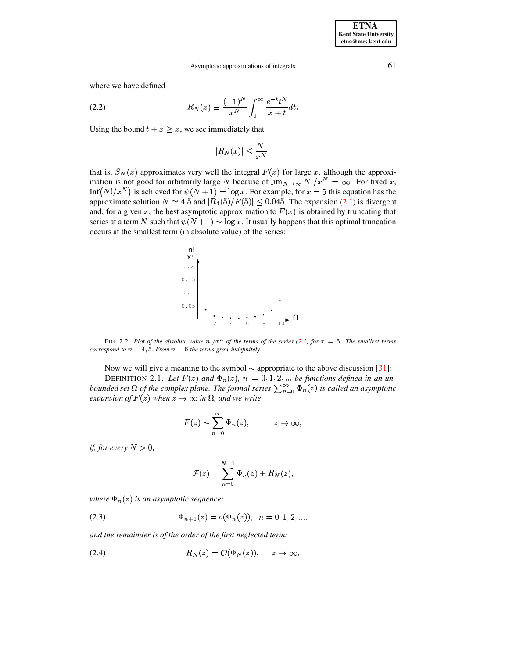where we have defined

<span id="page-3-0"></span>(2.2) 
$$
R_N(x) \equiv \frac{(-1)^N}{x^N} \int_0^\infty \frac{e^{-t}t^N}{x+t} dt.
$$

Using the bound  $t + x \geq x$ , we see immediately that

$$
|R_N(x)| \leq \frac{N!}{x^N},
$$

that is,  $S_N(x)$  approximates very well the integral  $F(x)$  for large x, although the approximation is not good for arbitrarily large N because of  $\lim_{N\to\infty} N!/x^N = \infty$ . For fixed x, Inf(N!/x<sup>N</sup>) is achieved for  $\psi(N + 1) = \log x$ . For example, for  $x = 5$  this equation has the approximate solution  $N \simeq 4.5$  and  $|R_4(5)/F(5)| \leq 0.045$ . The expansion (2.1) is divergent and, for a given x, the best asymptotic approximation to  $F(x)$  is obtained by truncating that series at a term N such that  $\psi(N+1) \sim \log x$ . It usually happens that this optimal truncation occurs at the smallest term (in absolute value) of the series:



FIG. 2.2. Plot of the absolute value  $n! / x^n$  of the terms of the series (2.1) for  $x = 5$ . The smallest terms correspond to  $n = 4, 5$ . From  $n = 6$  the terms grow indefinitely.

Now we will give a meaning to the symbol  $\sim$  appropriate to the above discussion [31]: DEFINITION 2.1. Let  $F(z)$  and  $\Phi_n(z)$ ,  $n = 0, 1, 2, ...$  be functions defined in an unbounded set  $\Omega$  of the complex plane. The formal series  $\sum_{n=0}^{\infty} \Phi_n(z)$  is called an asymptotic expansion of  $F(z)$  when  $z \to \infty$  in  $\Omega$ , and we write

$$
F(z) \sim \sum_{n=0}^{\infty} \Phi_n(z), \qquad z \to \infty,
$$

*if, for every*  $N > 0$ ,

$$
\mathcal{F}(z) = \sum_{n=0}^{N-1} \Phi_n(z) + R_N(z),
$$

where  $\Phi_n(z)$  is an asymptotic sequence:

<span id="page-3-1"></span>(2.3) 
$$
\Phi_{n+1}(z) = o(\Phi_n(z)), \ \ n = 0, 1, 2, ...
$$

and the remainder is of the order of the first neglected term:

<span id="page-3-2"></span>(2.4) 
$$
R_N(z) = \mathcal{O}(\Phi_N(z)), \quad z \to \infty.
$$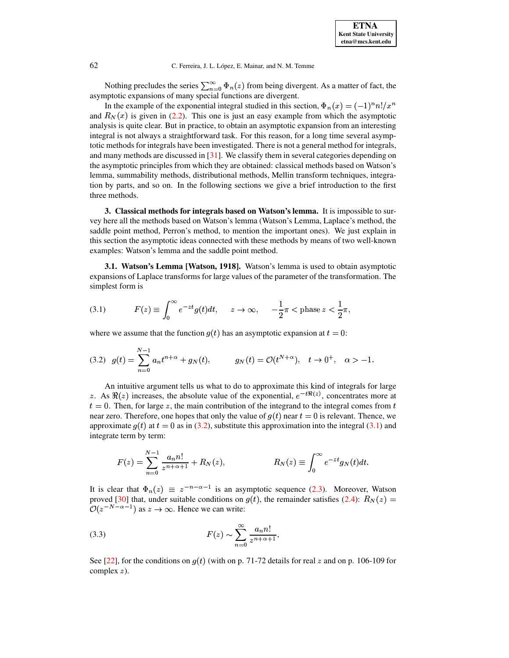Nothing precludes the series  $\sum_{n=0}^{\infty} \Phi_n(z)$  from being divergent. As a matter of fact, the asymptotic expansions of many special functions are divergent.

In the example of the exponential integral studied in this section,  $\Phi_n(x) = (-1)^n n!/x^n$ and  $R_N(x)$  is given in (2.2). This one is just an easy example from which the asymptotic analysis is quite clear. But in practice, to obtain an asymptotic expansion from an interesting integral is not always a straightforward task. For this reason, for a long time several asymptotic methods for integrals have been investigated. There is not a general method for integrals, and many methods are discussed in  $[31]$ . We classify them in several categories depending on the asymptotic principles from which they are obtained: classical methods based on Watson's lemma, summability methods, distributional methods, Mellin transform techniques, integration by parts, and so on. In the following sections we give a brief introduction to the first three methods.

3. Classical methods for integrals based on Watson's lemma. It is impossible to survey here all the methods based on Watson's lemma (Watson's Lemma, Laplace's method, the saddle point method, Perron's method, to mention the important ones). We just explain in this section the asymptotic ideas connected with these methods by means of two well-known examples: Watson's lemma and the saddle point method.

3.1. Watson's Lemma [Watson, 1918]. Watson's lemma is used to obtain asymptotic expansions of Laplace transforms for large values of the parameter of the transformation. The simplest form is

<span id="page-4-1"></span>(3.1) 
$$
F(z) \equiv \int_0^\infty e^{-zt} g(t) dt, \quad z \to \infty, \quad -\frac{1}{2}\pi < \text{phase } z < \frac{1}{2}\pi
$$

where we assume that the function  $g(t)$  has an asymptotic expansion at  $t = 0$ :

<span id="page-4-0"></span>
$$
(3.2) \quad g(t) = \sum_{n=0}^{N-1} a_n t^{n+\alpha} + g_N(t), \qquad g_N(t) = \mathcal{O}(t^{N+\alpha}), \quad t \to 0^+, \quad \alpha > -1.
$$

An intuitive argument tells us what to do to approximate this kind of integrals for large z. As  $\Re(z)$  increases, the absolute value of the exponential,  $e^{-t\Re(z)}$ , concentrates more at  $t = 0$ . Then, for large z, the main contribution of the integrand to the integral comes from t near zero. Therefore, one hopes that only the value of  $g(t)$  near  $t = 0$  is relevant. Thence, we approximate  $g(t)$  at  $t = 0$  as in (3.2), substitute this approximation into the integral (3.1) and integrate term by term:

$$
F(z) = \sum_{n=0}^{N-1} \frac{a_n n!}{z^{n+\alpha+1}} + R_N(z), \qquad R_N(z) \equiv \int_0^\infty e^{-zt} g_N(t) dt.
$$

It is clear that  $\Phi_n(z) \equiv z^{-n-\alpha-1}$  is an asymptotic sequence (2.3). Moreover, Watson proved [30] that, under suitable conditions on  $g(t)$ , the remainder satisfies (2.4):  $R_N(z)$  =  $\mathcal{O}(z^{-N-\alpha-1})$  as  $z \to \infty$ . Hence we can write:

<span id="page-4-2"></span>(3.3) 
$$
F(z) \sim \sum_{n=0}^{\infty} \frac{a_n n!}{z^{n+\alpha+1}}.
$$

See [22], for the conditions on  $g(t)$  (with on p. 71-72 details for real z and on p. 106-109 for complex  $z$ ).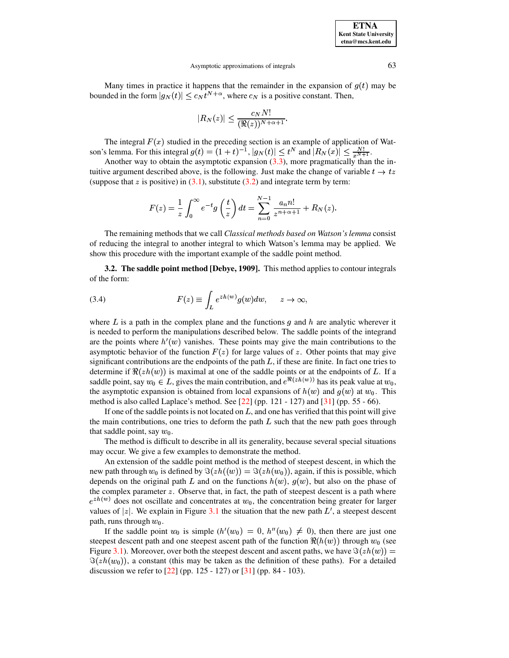**ETNA Kent State University**  $etna@mcs. kent.edu$ 

#### Asymptotic approximations of integrals

Many times in practice it happens that the remainder in the expansion of  $g(t)$  may be bounded in the form  $|g_N(t)| \leq c_N t^{N+\alpha}$ , where  $c_N$  is a positive constant. Then,

$$
|R_N(z)| \le \frac{c_N N!}{(\Re(z))^{N+\alpha+1}}.
$$

The integral  $F(x)$  studied in the preceding section is an example of application of Watson's lemma. For this integral  $g(t) = (1+t)^{-1}$ ,  $|g_N(t)| \le t^N$  and  $|R_N(x)| \le \frac{N!}{r^{N+1}}$ .

Another way to obtain the asymptotic expansion  $(3.3)$ , more pragmatically than the intuitive argument described above, is the following. Just make the change of variable  $t \to tz$ (suppose that z is positive) in  $(3.1)$ , substitute  $(3.2)$  and integrate term by term:

$$
F(z) = \frac{1}{z} \int_0^{\infty} e^{-t} g\left(\frac{t}{z}\right) dt = \sum_{n=0}^{N-1} \frac{a_n n!}{z^{n+\alpha+1}} + R_N(z).
$$

The remaining methods that we call Classical methods based on Watson's lemma consist of reducing the integral to another integral to which Watson's lemma may be applied. We show this procedure with the important example of the saddle point method.

3.2. The saddle point method [Debye, 1909]. This method applies to contour integrals of the form:

<span id="page-5-0"></span>(3.4) 
$$
F(z) \equiv \int_L e^{zh(w)} g(w) dw, \quad z \to \infty,
$$

where L is a path in the complex plane and the functions q and h are analytic wherever it is needed to perform the manipulations described below. The saddle points of the integrand are the points where  $h'(w)$  vanishes. These points may give the main contributions to the asymptotic behavior of the function  $F(z)$  for large values of z. Other points that may give significant contributions are the endpoints of the path  $L$ , if these are finite. In fact one tries to determine if  $\Re(zh(w))$  is maximal at one of the saddle points or at the endpoints of L. If a saddle point, say  $w_0 \in L$ , gives the main contribution, and  $e^{\Re(zh(w))}$  has its peak value at  $w_0$ , the asymptotic expansion is obtained from local expansions of  $h(w)$  and  $g(w)$  at  $w_0$ . This method is also called Laplace's method. See  $[22]$  (pp. 121 - 127) and  $[31]$  (pp. 55 - 66).

If one of the saddle points is not located on  $L$ , and one has verified that this point will give the main contributions, one tries to deform the path  $L$  such that the new path goes through that saddle point, say  $w_0$ .

The method is difficult to describe in all its generality, because several special situations may occur. We give a few examples to demonstrate the method.

An extension of the saddle point method is the method of steepest descent, in which the new path through  $w_0$  is defined by  $\Im(zh(w)) = \Im(zh(w_0))$ , again, if this is possible, which depends on the original path L and on the functions  $h(w)$ ,  $g(w)$ , but also on the phase of the complex parameter  $z$ . Observe that, in fact, the path of steepest descent is a path where  $e^{zh(w)}$  does not oscillate and concentrates at  $w_0$ , the concentration being greater for larger values of  $|z|$ . We explain in Figure 3.1 the situation that the new path  $L'$ , a steepest descent path, runs through  $w_0$ .

If the saddle point  $w_0$  is simple  $(h'(w_0) = 0, h''(w_0) \neq 0)$ , then there are just one steepest descent path and one steepest ascent path of the function  $\Re(h(w))$  through  $w_0$  (see Figure 3.1). Moreover, over both the steepest descent and ascent paths, we have  $\Im(zh(w))$  =  $\Im(zh(w_0))$ , a constant (this may be taken as the definition of these paths). For a detailed discussion we refer to [22] (pp. 125 - 127) or [31] (pp. 84 - 103).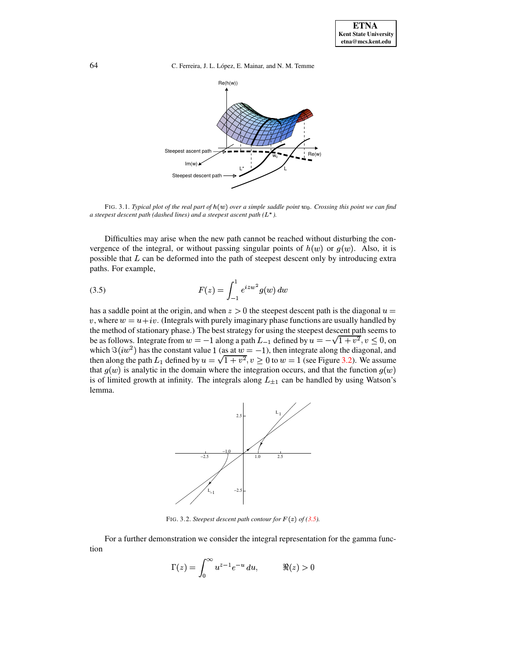64 C. Ferreira, J. L. López, E. Mainar, and N. M. Temme



FIG. 3.1. Typical plot of the real part of  $h(w)$  over a simple saddle point  $w_0$ . Crossing this point we can find *a steepest descent path (dashed lines) and a steepest ascent path (*<sup>í</sup> T*).*

Difficulties may arise when the new path cannot be reached without disturbing the convergence of the integral, or without passing singular points of  $h(w)$  or  $g(w)$ . Also, it is possible that  $L$  can be deformed into the path of steepest descent only by introducing extra paths. For example,

<span id="page-6-0"></span>(3.5) 
$$
F(z) = \int_{-1}^{1} e^{izw^2} g(w) dw
$$

has a saddle point at the origin, and when  $z>0$  the steepest descent path is the diagonal  $u =$ v, where  $w = u + iv$ . (Integrals with purely imaginary phase functions are usually handled by the method of stationary phase.) The best strategy for using the steepest descent path seems to be as follows. Integrate from  $w = -1$  along a path  $L_{-1}$  defined by  $u = -\sqrt{1 + v^2}, v \le 0$ , on which  $\Im(iw^2)$  has the constant value 1 (as at  $w = -1$ ), then integrate along the diagonal, and then along the path  $L_1$  defined by  $u = \sqrt{1 + v^2}$ ,  $v \ge 0$  to  $w = 1$  (see Figure [3.2\)](#page-20-0). We assume that  $g(w)$  is analytic in the domain where the integration occurs, and that the function  $g(w)$ is of limited growth at infinity. The integrals along  $L_{\pm 1}$  can be handled by using Watson's lemma.



FIG. 3.2. *Steepest descent path contour for*  $F(z)$  *of* [\(3.5\)](#page-6-0).

For a further demonstration we consider the integral representation for the gamma function

$$
\Gamma(z) = \int_0^\infty u^{z-1} e^{-u} du, \qquad \Re(z) > 0
$$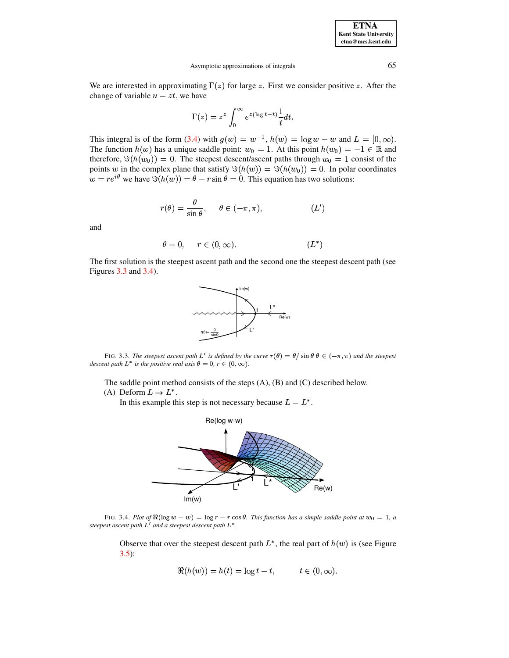**ETNA Kent State University**  $etna@mcs. kent.edu$ 

#### Asymptotic approximations of integrals

We are interested in approximating  $\Gamma(z)$  for large z. First we consider positive z. After the change of variable  $u = zt$ , we have

$$
\Gamma(z) = z^z \int_0^\infty e^{z(\log t - t)} \frac{1}{t} dt.
$$

This integral is of the form (3.4) with  $g(w) = w^{-1}$ ,  $h(w) = \log w - w$  and  $L = [0, \infty)$ . The function  $h(w)$  has a unique saddle point:  $w_0 = 1$ . At this point  $h(w_0) = -1 \in \mathbb{R}$  and therefore,  $\Im(h(w_0)) = 0$ . The steepest descent/ascent paths through  $w_0 = 1$  consist of the points w in the complex plane that satisfy  $\Im(h(w)) = \Im(h(w_0)) = 0$ . In polar coordinates  $w = re^{i\theta}$  we have  $\Im(h(w)) = \theta - r \sin \theta = 0$ . This equation has two solutions:

$$
r(\theta) = \frac{\theta}{\sin \theta}, \quad \theta \in (-\pi, \pi), \tag{L'}
$$

and

$$
\theta = 0, \qquad r \in (0, \infty). \tag{L*}
$$

The first solution is the steepest ascent path and the second one the steepest descent path (see Figures  $3.3$  and  $3.4$ ).



FIG. 3.3. The steepest ascent path L' is defined by the curve  $r(\theta) = \theta / \sin \theta \theta \in (-\pi, \pi)$  and the steepest descent path  $L^*$  is the positive real axis  $\theta = 0$ ,  $r \in (0, \infty)$ .

The saddle point method consists of the steps  $(A)$ ,  $(B)$  and  $(C)$  described below.

(A) Deform  $L \rightarrow L^*$ .

In this example this step is not necessary because  $L = L^*$ .



FIG. 3.4. Plot of  $\Re(\log w - w) = \log r - r \cos \theta$ . This function has a simple saddle point at  $w_0 = 1$ , a steepest ascent path  $L'$  and a steepest descent path  $L^*$ .

Observe that over the steepest descent path  $L^*$ , the real part of  $h(w)$  is (see Figure  $3.5$ :

$$
\Re(h(w)) = h(t) = \log t - t, \qquad t \in (0, \infty).
$$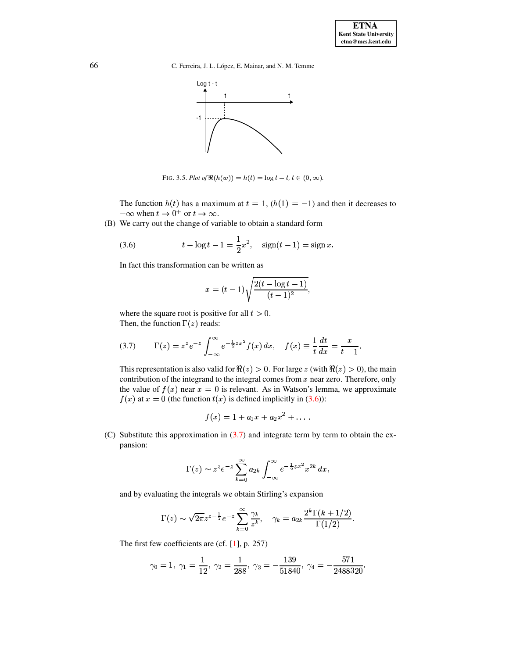

FIG. 3.5. Plot of  $\Re(h(w)) = h(t) = \log t - t, t \in (0, \infty)$ .

The function  $h(t)$  has a maximum at  $t = 1$ ,  $(h(1) = -1)$  and then it decreases to  $-\infty$  when  $t \to 0^+$  or  $t \to \infty$ .

(B) We carry out the change of variable to obtain a standard form

<span id="page-8-0"></span>(3.6) 
$$
t - \log t - 1 = \frac{1}{2}x^2, \quad \text{sign}(t - 1) = \text{sign } x.
$$

In fact this transformation can be written as

$$
x = (t - 1)\sqrt{\frac{2(t - \log t - 1)}{(t - 1)^2}},
$$

where the square root is positive for all  $t > 0$ . Then, the function  $\Gamma(z)$  reads:

<span id="page-8-1"></span>(3.7) 
$$
\Gamma(z) = z^z e^{-z} \int_{-\infty}^{\infty} e^{-\frac{1}{2}zx^2} f(x) dx, \quad f(x) \equiv \frac{1}{t} \frac{dt}{dx} = \frac{x}{t-1}.
$$

This representation is also valid for  $\Re(z) > 0$ . For large z (with  $\Re(z) > 0$ ), the main contribution of the integrand to the integral comes from  $x$  near zero. Therefore, only the value of  $f(x)$  near  $x = 0$  is relevant. As in Watson's lemma, we approximate  $f(x)$  at  $x = 0$  (the function  $t(x)$  is defined implicitly in (3.6)):

$$
f(x) = 1 + a_1 x + a_2 x^2 + \dots
$$

(C) Substitute this approximation in  $(3.7)$  and integrate term by term to obtain the expansion:

$$
\Gamma(z) \sim z^z e^{-z} \sum_{k=0}^{\infty} a_{2k} \int_{-\infty}^{\infty} e^{-\frac{1}{2}zx^2} x^{2k} dx,
$$

and by evaluating the integrals we obtain Stirling's expansion

$$
\Gamma(z) \sim \sqrt{2\pi} z^{z-\frac{1}{2}} e^{-z} \sum_{k=0}^{\infty} \frac{\gamma_k}{z^k}, \quad \gamma_k = a_{2k} \frac{2^k \Gamma(k+1/2)}{\Gamma(1/2)}.
$$

The first few coefficients are (cf.  $[1]$ , p. 257)

$$
\gamma_0 = 1, \ \gamma_1 = \frac{1}{12}, \ \gamma_2 = \frac{1}{288}, \ \gamma_3 = -\frac{139}{51840}, \ \gamma_4 = -\frac{571}{2488320}.
$$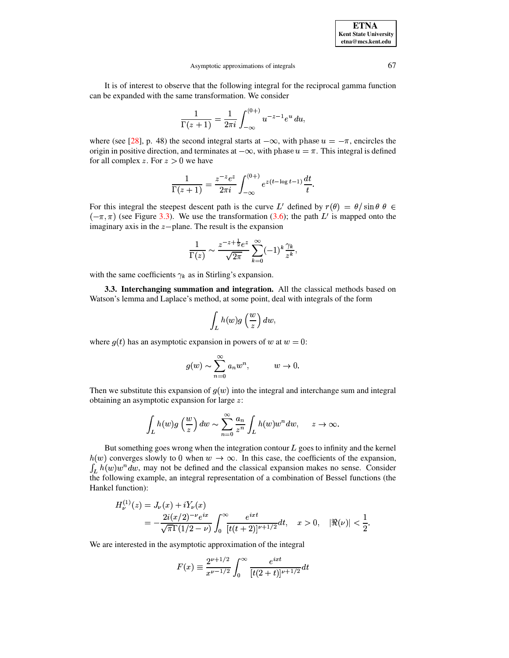It is of interest to observe that the following integral for the reciprocal gamma function can be expanded with the same transformation. We consider

$$
\frac{1}{\Gamma(z+1)} = \frac{1}{2\pi i} \int_{-\infty}^{(0+)} u^{-z-1} e^u \, du
$$

where (see [28], p. 48) the second integral starts at  $-\infty$ , with phase  $u = -\pi$ , encircles the origin in positive direction, and terminates at  $-\infty$ , with phase  $u = \pi$ . This integral is defined for all complex z. For  $z > 0$  we have

$$
\frac{1}{\Gamma(z+1)} = \frac{z^{-z}e^z}{2\pi i} \int_{-\infty}^{(0+)} e^{z(t-\log t - 1)} \frac{dt}{t}.
$$

For this integral the steepest descent path is the curve L' defined by  $r(\theta) = \theta / \sin \theta \theta \in$  $(-\pi, \pi)$  (see Figure 3.3). We use the transformation (3.6); the path L' is mapped onto the imaginary axis in the  $z$ -plane. The result is the expansion

$$
\frac{1}{\Gamma(z)} \sim \frac{z^{-z+\frac{1}{2}}e^z}{\sqrt{2\pi}} \sum_{k=0}^{\infty} (-1)^k \frac{\gamma_k}{z^k},
$$

with the same coefficients  $\gamma_k$  as in Stirling's expansion.

3.3. Interchanging summation and integration. All the classical methods based on Watson's lemma and Laplace's method, at some point, deal with integrals of the form

$$
\int_L h(w)g\left(\frac{w}{z}\right)dw,
$$

where  $g(t)$  has an asymptotic expansion in powers of w at  $w = 0$ :

$$
g(w) \sim \sum_{n=0}^{\infty} a_n w^n, \qquad w \to 0.
$$

Then we substitute this expansion of  $q(w)$  into the integral and interchange sum and integral obtaining an asymptotic expansion for large  $z$ :

$$
\int_L h(w)g\left(\frac{w}{z}\right)dw \sim \sum_{n=0}^{\infty} \frac{a_n}{z^n} \int_L h(w)w^n dw, \quad z \to \infty.
$$

But something goes wrong when the integration contour  $L$  goes to infinity and the kernel  $h(w)$  converges slowly to 0 when  $w \to \infty$ . In this case, the coefficients of the expansion,  $\int_L h(w)w^n dw$ , may not be defined and the classical expansion makes no sense. Consider the following example, an integral representation of a combination of Bessel functions (the Hankel function):

$$
H_{\nu}^{(1)}(z) = J_{\nu}(x) + iY_{\nu}(x)
$$
  
=  $-\frac{2i(x/2)^{-\nu}e^{ix}}{\sqrt{\pi}\Gamma(1/2 - \nu)} \int_0^{\infty} \frac{e^{ixt}}{[t(t+2)]^{\nu+1/2}} dt$ ,  $x > 0$ ,  $|\Re(\nu)| < \frac{1}{2}$ .

We are interested in the asymptotic approximation of the integral

$$
F(x) \equiv \frac{2^{\nu+1/2}}{x^{\nu-1/2}} \int_0^\infty \frac{e^{ixt}}{[t(2+t)]^{\nu+1/2}} dt
$$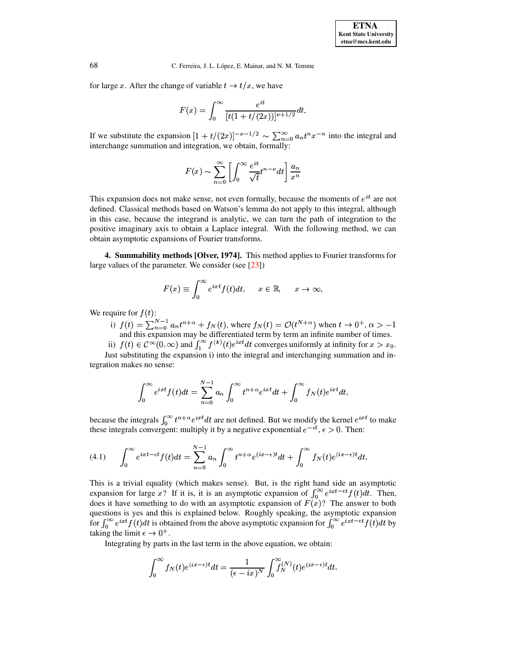for large x. After the change of variable  $t \to t/x$ , we have

$$
F(x) = \int_0^\infty \frac{e^{it}}{[t(1+t/(2x))]^{\nu+1/2}} dt.
$$

If we substitute the expansion  $[1 + t/(2x)]^{-\nu - 1/2} \sim \sum_{n=0}^{\infty} a_n t^n x^{-n}$  into the integral and interchange summation and integration, we obtain, formally:

$$
F(x)\sim\sum_{n=0}^\infty\left[\int_0^\infty\frac{e^{it}}{\sqrt{t}}t^{n-\nu}dt\right]\frac{a_n}{x^n}
$$

This expansion does not make sense, not even formally, because the moments of  $e^{it}$  are not defined. Classical methods based on Watson's lemma do not apply to this integral, although in this case, because the integrand is analytic, we can turn the path of integration to the positive imaginary axis to obtain a Laplace integral. With the following method, we can obtain asymptotic expansions of Fourier transforms.

4. Summability methods [Olver, 1974]. This method applies to Fourier transforms for large values of the parameter. We consider (see  $[23]$ )

$$
F(x) \equiv \int_0^\infty e^{ixt} f(t) dt, \quad x \in \mathbb{R}, \quad x \to \infty.
$$

We require for  $f(t)$ :

i)  $f(t) = \sum_{n=0}^{N-1} a_n t^{n+\alpha} + f_N(t)$ , where  $f_N(t) = O(t^{N+\alpha})$  when  $t \to 0^+, \alpha > -1$ and this expansion may be differentiated term by term an infinite number of times.

ii)  $f(t) \in C^{\infty}(0,\infty)$  and  $\int_{1}^{\infty} f^{(k)}(t)e^{ixt}dt$  converges uniformly at infinity for  $x > x_0$ . Just substituting the expansion i) into the integral and interchanging summation and integration makes no sense:

$$
\int_0^\infty e^{ixt} f(t)dt = \sum_{n=0}^{N-1} a_n \int_0^\infty t^{n+\alpha} e^{ixt} dt + \int_0^\infty f_N(t) e^{ixt} dt,
$$

because the integrals  $\int_0^\infty t^{n+\alpha} e^{ixt} dt$  are not defined. But we modify the kernel  $e^{ixt}$  to make these integrals convergent: multiply it by a negative exponential  $e^{-\epsilon t}$ ,  $\epsilon > 0$ . Then:

<span id="page-10-0"></span>
$$
(4.1) \qquad \int_0^\infty e^{ixt-\epsilon t} f(t)dt = \sum_{n=0}^{N-1} a_n \int_0^\infty t^{n+\alpha} e^{(ix-\epsilon)t} dt + \int_0^\infty f_N(t) e^{(ix-\epsilon)t} dt.
$$

This is a trivial equality (which makes sense). But, is the right hand side an asymptotic expansion for large x? If it is, it is an asymptotic expansion of  $\int_0^\infty e^{ixt-\epsilon t} f(t) dt$ . Then, does it have something to do with an asymptotic expansion of  $F(x)$ ? The answer to both questions is yes and this is explained below. Roughly speaking, the asymptotic expansion for  $\int_0^\infty e^{ixt} f(t) dt$  is obtained from the above asymptotic expansion for  $\int_0^\infty e^{ixt-\epsilon t} f(t) dt$  by taking the limit  $\epsilon \to 0^+$ .

Integrating by parts in the last term in the above equation, we obtain:

$$
\int_0^\infty f_N(t)e^{(ix-\epsilon)t}dt = \frac{1}{(\epsilon - ix)^N} \int_0^\infty f_N^{(N)}(t)e^{(ix-\epsilon)t}dt.
$$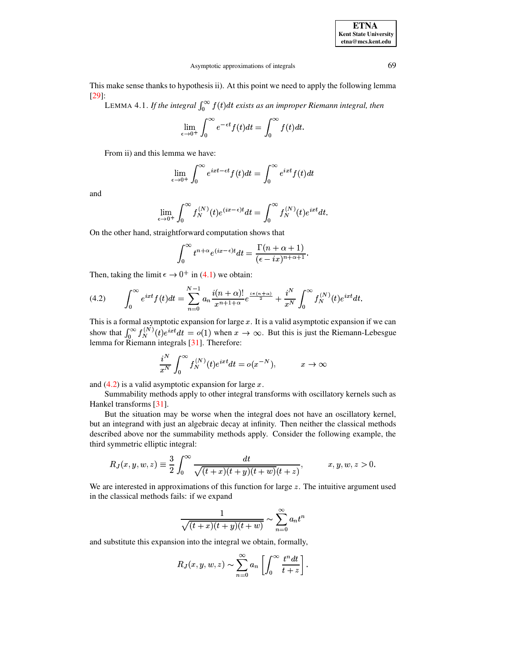| <b>ETNA</b>                  |
|------------------------------|
| <b>Kent State University</b> |
| etna@mcs.kent.edu            |

This make sense thanks to hypothesis ii). At this point we need to apply the following lemma  $[29]$ :

LEMMA 4.1. If the integral  $\int_0^\infty f(t)dt$  exists as an improper Riemann integral, then

$$
\lim_{\epsilon \to 0^+} \int_0^\infty e^{-\epsilon t} f(t) dt = \int_0^\infty f(t) dt
$$

From ii) and this lemma we have:

$$
\lim_{\epsilon \to 0^+} \int_0^\infty e^{ixt - \epsilon t} f(t) dt = \int_0^\infty e^{ixt} f(t) dt
$$

and

$$
\lim_{\epsilon \to 0^+} \int_0^\infty f_N^{(N)}(t) e^{(ix-\epsilon)t} dt = \int_0^\infty f_N^{(N)}(t) e^{ixt} dt.
$$

On the other hand, straightforward computation shows that

$$
\int_0^\infty t^{n+\alpha} e^{(ix-\epsilon)t} dt = \frac{\Gamma(n+\alpha+1)}{(\epsilon-ix)^{n+\alpha+1}}.
$$

Then, taking the limit  $\epsilon \to 0^+$  in (4.1) we obtain:

<span id="page-11-0"></span>(4.2) 
$$
\int_0^\infty e^{ixt} f(t) dt = \sum_{n=0}^{N-1} a_n \frac{i(n+\alpha)!}{x^{n+1+\alpha}} e^{\frac{i\pi(n+\alpha)}{2}} + \frac{i^N}{x^N} \int_0^\infty f_N^{(N)}(t) e^{ixt} dt.
$$

This is a formal asymptotic expansion for large x. It is a valid asymptotic expansion if we can show that  $\int_0^\infty f_N^{(N)}(t)e^{ixt}dt = o(1)$  when  $x \to \infty$ . But this is just the Riemann-Lebesgue lemma for Riemann integrals [31].

$$
\frac{i^N}{x^N} \int_0^\infty f_N^{(N)}(t) e^{ixt} dt = o(x^{-N}), \qquad x \to \infty
$$

and  $(4.2)$  is a valid asymptotic expansion for large x.

Summability methods apply to other integral transforms with oscillatory kernels such as Hankel transforms [31].

But the situation may be worse when the integral does not have an oscillatory kernel, but an integrand with just an algebraic decay at infinity. Then neither the classical methods described above nor the summability methods apply. Consider the following example, the third symmetric elliptic integral:

$$
R_J(x, y, w, z) \equiv \frac{3}{2} \int_0^{\infty} \frac{dt}{\sqrt{(t+x)(t+y)(t+w)(t+z)}}, \qquad x, y, w, z > 0.
$$

We are interested in approximations of this function for large  $z$ . The intuitive argument used in the classical methods fails: if we expand

$$
\frac{1}{\sqrt{(t+x)(t+y)(t+w)}} \sim \sum_{n=0}^{\infty} a_n t^n
$$

and substitute this expansion into the integral we obtain, formally,

$$
R_J(x, y, w, z) \sim \sum_{n=0}^{\infty} a_n \left[ \int_0^{\infty} \frac{t^n dt}{t+z} \right].
$$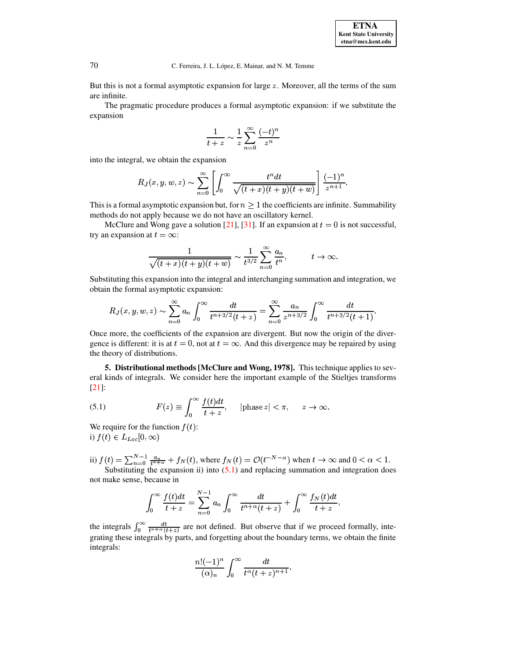But this is not a formal asymptotic expansion for large  $z$ . Moreover, all the terms of the sum are infinite.

The pragmatic procedure produces a formal asymptotic expansion: if we substitute the expansion

$$
\frac{1}{t+z} \sim \frac{1}{z} \sum_{n=0}^{\infty} \frac{(-t)^n}{z^n}
$$

into the integral, we obtain the expansion

$$
R_J(x,y,w,z) \sim \sum_{n=0}^{\infty} \left[ \int_0^{\infty} \frac{t^n dt}{\sqrt{(t+x)(t+y)(t+w)}} \right] \frac{(-1)^n}{z^{n+1}}.
$$

This is a formal asymptotic expansion but, for  $n \geq 1$  the coefficients are infinite. Summability methods do not apply because we do not have an oscillatory kernel.

McClure and Wong gave a solution [21], [31]. If an expansion at  $t = 0$  is not successful, try an expansion at  $t = \infty$ :

$$
\frac{1}{\sqrt{(t+x)(t+y)(t+w)}} \sim \frac{1}{t^{3/2}} \sum_{n=0}^{\infty} \frac{a_n}{t^n}, \qquad t \to \infty.
$$

Substituting this expansion into the integral and interchanging summation and integration, we obtain the formal asymptotic expansion:

$$
R_J(x, y, w, z) \sim \sum_{n=0}^{\infty} a_n \int_0^{\infty} \frac{dt}{t^{n+3/2}(t+z)} = \sum_{n=0}^{\infty} \frac{a_n}{z^{n+3/2}} \int_0^{\infty} \frac{dt}{t^{n+3/2}(t+1)}
$$

Once more, the coefficients of the expansion are divergent. But now the origin of the divergence is different: it is at  $t = 0$ , not at  $t = \infty$ . And this divergence may be repaired by using the theory of distributions.

5. Distributional methods [McClure and Wong, 1978]. This technique applies to several kinds of integrals. We consider here the important example of the Stieltjes transforms  $[21]$ :

<span id="page-12-0"></span>(5.1) 
$$
F(z) \equiv \int_0^\infty \frac{f(t)dt}{t+z}, \quad |\text{phase } z| < \pi, \quad z \to \infty.
$$

We require for the function  $f(t)$ : i)  $f(t) \in L_{Loc}[0, \infty)$ 

ii) 
$$
f(t) = \sum_{n=0}^{N-1} \frac{a_n}{t^{n+\alpha}} + f_N(t)
$$
, where  $f_N(t) = \mathcal{O}(t^{-N-\alpha})$  when  $t \to \infty$  and  $0 < \alpha < 1$ . Substituting the expansion ii) into (5.1) and replacing summation and integration does

not make sense, because in

$$
\int_0^\infty \frac{f(t)dt}{t+z} = \sum_{n=0}^{N-1} a_n \int_0^\infty \frac{dt}{t^{n+\alpha}(t+z)} + \int_0^\infty \frac{f_N(t)dt}{t+z},
$$

the integrals  $\int_0^\infty \frac{dt}{t^{n+\alpha}(t+z)}$  are not defined. But observe that if we proceed formally, integrating these integrals by parts, and forgetting about the boundary terms, we obtain the finite integrals:

$$
\frac{n!(-1)^n}{(\alpha)_n}\int_0^\infty \frac{dt}{t^\alpha(t+z)^{n+1}}.
$$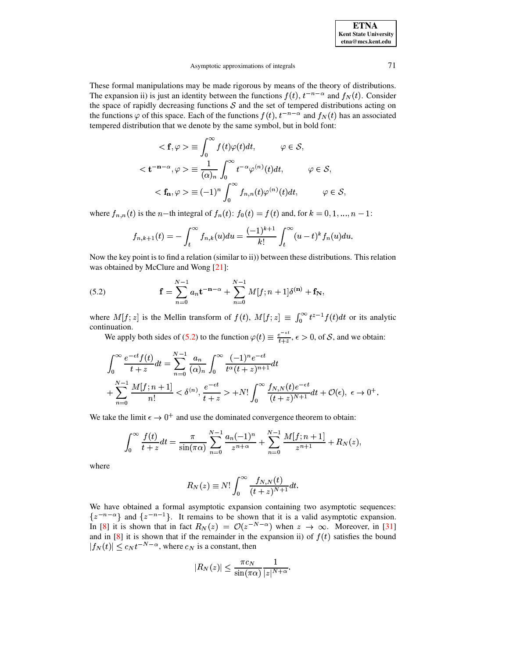These formal manipulations may be made rigorous by means of the theory of distributions. The expansion ii) is just an identity between the functions  $f(t)$ ,  $t^{-n-\alpha}$  and  $f_N(t)$ . Consider the space of rapidly decreasing functions  $S$  and the set of tempered distributions acting on the functions  $\varphi$  of this space. Each of the functions  $f(t)$ ,  $t^{-n-\alpha}$  and  $f_N(t)$  has an associated tempered distribution that we denote by the same symbol, but in bold font:

$$
\langle \mathbf{f}, \varphi \rangle \equiv \int_0^\infty f(t) \varphi(t) dt, \qquad \varphi \in \mathcal{S},
$$
  

$$
\langle \mathbf{t}^{-\mathbf{n}-\alpha}, \varphi \rangle \equiv \frac{1}{(\alpha)_n} \int_0^\infty t^{-\alpha} \varphi^{(n)}(t) dt, \qquad \varphi \in \mathcal{S},
$$
  

$$
\langle \mathbf{f}_\mathbf{n}, \varphi \rangle \equiv (-1)^n \int_0^\infty f_{n,n}(t) \varphi^{(n)}(t) dt, \qquad \varphi \in \mathcal{S}
$$

where  $f_{n,n}(t)$  is the *n*-th integral of  $f_n(t)$ :  $f_0(t) = f(t)$  and, for  $k = 0, 1, ..., n - 1$ :

$$
f_{n,k+1}(t) = -\int_t^{\infty} f_{n,k}(u) du = \frac{(-1)^{k+1}}{k!} \int_t^{\infty} (u-t)^k f_n(u) du.
$$

Now the key point is to find a relation (similar to ii)) between these distributions. This relation was obtained by McClure and Wong [21]:

<span id="page-13-0"></span>(5.2) 
$$
\mathbf{f} = \sum_{n=0}^{N-1} a_n \mathbf{t}^{-\mathbf{n}-\alpha} + \sum_{n=0}^{N-1} M[f; n+1] \delta^{(\mathbf{n})} + \mathbf{f}_N,
$$

where  $M[f; z]$  is the Mellin transform of  $f(t)$ ,  $M[f; z] \equiv \int_0^\infty t^{z-1} f(t) dt$  or its analytic continuation.

We apply both sides of (5.2) to the function  $\varphi(t) \equiv \frac{e^{-\epsilon t}}{t+z}$ ,  $\epsilon > 0$ , of S, and we obtain:

$$
\int_0^\infty \frac{e^{-\epsilon t} f(t)}{t+z} dt = \sum_{n=0}^{N-1} \frac{a_n}{(\alpha)_n} \int_0^\infty \frac{(-1)^n e^{-\epsilon t}}{t^{\alpha}(t+z)^{n+1}} dt + \sum_{n=0}^{N-1} \frac{M[f; n+1]}{n!} < \delta^{(n)}, \frac{e^{-\epsilon t}}{t+z} > +N! \int_0^\infty \frac{f_{N,N}(t) e^{-\epsilon t}}{(t+z)^{N+1}} dt + \mathcal{O}(\epsilon), \ \epsilon \to 0^+.
$$

We take the limit  $\epsilon \to 0^+$  and use the dominated convergence theorem to obtain:

$$
\int_0^\infty \frac{f(t)}{t+z} dt = \frac{\pi}{\sin(\pi \alpha)} \sum_{n=0}^{N-1} \frac{a_n (-1)^n}{z^{n+\alpha}} + \sum_{n=0}^{N-1} \frac{M[f; n+1]}{z^{n+1}} + R_N(z),
$$

where

$$
R_N(z) \equiv N! \int_0^\infty \frac{f_{N,N}(t)}{(t+z)^{N+1}} dt.
$$

We have obtained a formal asymptotic expansion containing two asymptotic sequences:  $\{z^{-n-\alpha}\}\$ and  $\{z^{-n-1}\}\$ . It remains to be shown that it is a valid asymptotic expansion. In [8] it is shown that in fact  $R_N(z) = \mathcal{O}(z^{-N-\alpha})$  when  $z \to \infty$ . Moreover, in [31] and in [8] it is shown that if the remainder in the expansion ii) of  $f(t)$  satisfies the bound  $|f_N(t)| \leq c_N t^{-N-\alpha}$ , where  $c_N$  is a constant, then

$$
|R_N(z)| \le \frac{\pi c_N}{\sin(\pi \alpha)} \frac{1}{|z|^{N+\alpha}}.
$$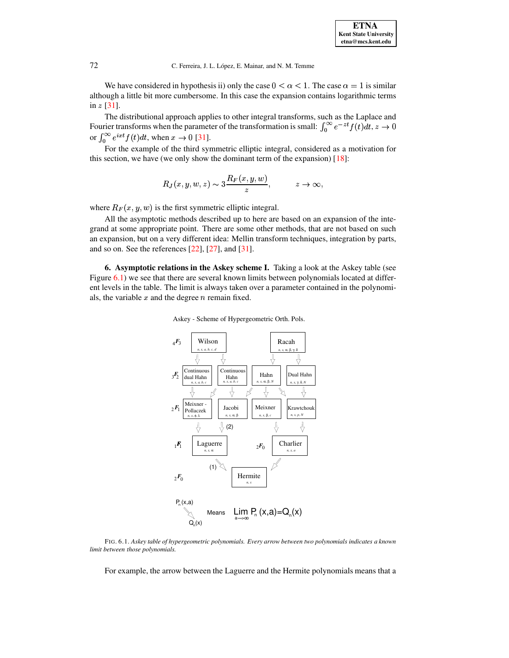We have considered in hypothesis ii) only the case  $0 < \alpha < 1$ . The case  $\alpha = 1$  is similar although a little bit more cumbersome. In this case the expansion contains logarithmic terms in  $z$  [\[31\]](#page-25-1).

The distributional approach applies to other integral transforms, such as the Laplace and Fourier transforms when the parameter of the transformation is small:  $\int_0^\infty e^{-zt} f(t) dt$ ,  $z \to z$  $(t)dt, z \rightarrow 0$ or  $\int_0^\infty e^{ixt} f(t) dt$ , when  $x \to 0$  [\[31\]](#page-25-1).

For the example of the third symmetric elliptic integral, considered as a motivation for this section, we have (we only show the dominant term of the expansion)  $[18]$ :

$$
R_J(x, y, w, z) \sim 3\frac{R_F(x, y, w)}{z}, \qquad z \to \infty,
$$

where  $R_F(x, y, w)$  is the first symmetric elliptic integral.

All the asymptotic methods described up to here are based on an expansion of the integrand at some appropriate point. There are some other methods, that are not based on such an expansion, but on a very different idea: Mellin transform techniques, integration by parts, and so on. See the references [\[22\]](#page-25-0), [\[27\]](#page-25-9), and [\[31\]](#page-25-1).

**6. Asymptotic relations in the Askey scheme I.** Taking a look at the Askey table (see Figure [6.1\)](#page-19-0) we see that there are several known limits between polynomials located at different levels in the table. The limit is always taken over a parameter contained in the polynomials, the variable  $x$  and the degree  $n$  remain fixed.

Askey - Scheme of Hypergeometric Orth. Pols.



FIG. 6.1. *Askey table of hypergeometric polynomials. Every arrow between two polynomials indicates a known limit between those polynomials.*

For example, the arrow between the Laguerre and the Hermite polynomials means that a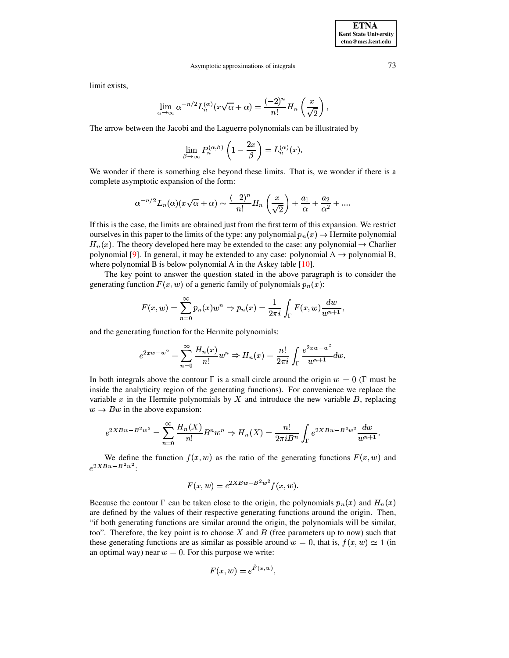limit exists,

$$
\lim_{\alpha \to \infty} \alpha^{-n/2} L_n^{(\alpha)} (x \sqrt{\alpha} + \alpha) = \frac{(-2)^n}{n!} H_n \left( \frac{x}{\sqrt{2}} \right),
$$

The arrow between the Jacobi and the Laguerre polynomials can be illustrated by

$$
\lim_{\beta \to \infty} P_n^{(\alpha,\beta)} \left( 1 - \frac{2x}{\beta} \right) = L_n^{(\alpha)}(x)
$$

We wonder if there is something else beyond these limits. That is, we wonder if there is a complete asymptotic expansion of the form:

$$
\alpha^{-n/2} L_n(\alpha) (x\sqrt{\alpha} + \alpha) \sim \frac{(-2)^n}{n!} H_n\left(\frac{x}{\sqrt{2}}\right) + \frac{a_1}{\alpha} + \frac{a_2}{\alpha^2} + \dots
$$

If this is the case, the limits are obtained just from the first term of this expansion. We restrict ourselves in this paper to the limits of the type: any polynomial  $p_n(x) \rightarrow$  Hermite polynomial  $H_n(x)$ . The theory developed here may be extended to the case: any polynomial  $\rightarrow$  Charlier polynomial [9]. In general, it may be extended to any case: polynomial  $A \rightarrow$  polynomial B, where polynomial B is below polynomial A in the Askey table  $[10]$ .

The key point to answer the question stated in the above paragraph is to consider the generating function  $F(x, w)$  of a generic family of polynomials  $p_n(x)$ :

$$
F(x, w) = \sum_{n=0}^{\infty} p_n(x) w^n \Rightarrow p_n(x) = \frac{1}{2\pi i} \int_{\Gamma} F(x, w) \frac{dw}{w^{n+1}},
$$

and the generating function for the Hermite polynomials:

$$
e^{2xw-w^2} = \sum_{n=0}^{\infty} \frac{H_n(x)}{n!} w^n \Rightarrow H_n(x) = \frac{n!}{2\pi i} \int_{\Gamma} \frac{e^{2xw-w^2}}{w^{n+1}} dw.
$$

In both integrals above the contour  $\Gamma$  is a small circle around the origin  $w = 0$  ( $\Gamma$  must be inside the analyticity region of the generating functions). For convenience we replace the variable x in the Hermite polynomials by X and introduce the new variable  $B$ , replacing  $w \rightarrow Bw$  in the above expansion:

$$
e^{2XBw - B^2w^2} = \sum_{n=0}^{\infty} \frac{H_n(X)}{n!} B^n w^n \Rightarrow H_n(X) = \frac{n!}{2\pi i B^n} \int_{\Gamma} e^{2XBw - B^2w^2} \frac{dw}{w^{n+1}}.
$$

We define the function  $f(x, w)$  as the ratio of the generating functions  $F(x, w)$  and  $e^{2XBw-B^2w^2}$ .

$$
F(x, w) = e^{2XBw - B^2w^2} f(x, w).
$$

Because the contour  $\Gamma$  can be taken close to the origin, the polynomials  $p_n(x)$  and  $H_n(x)$ are defined by the values of their respective generating functions around the origin. Then, "if both generating functions are similar around the origin, the polynomials will be similar, too". Therefore, the key point is to choose X and B (free parameters up to now) such that these generating functions are as similar as possible around  $w = 0$ , that is,  $f(x, w) \approx 1$  (in an optimal way) near  $w = 0$ . For this purpose we write:

$$
F(x, w) = e^{F(x, w)}
$$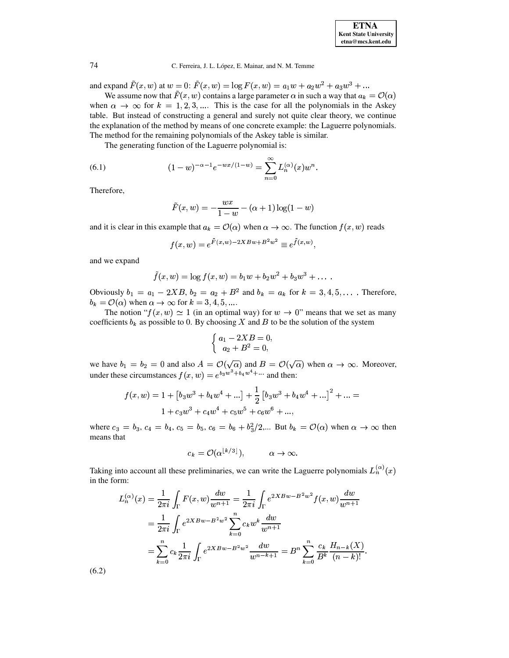and expand  $F(x, w)$  at  $w = 0$ :  $F(x, w) = \log F(x, w) = a_1w + a_2w^2 + a_3w^3 + ...$ 

We assume now that  $\tilde{F}(x, w)$  contains a large parameter  $\alpha$  in such a way that  $a_k = \mathcal{O}(\alpha)$ when  $\alpha \to \infty$  for  $k = 1, 2, 3, ...$  This is the case for all the polynomials in the Askey table. But instead of constructing a general and surely not quite clear theory, we continue the explanation of the method by means of one concrete example: the Laguerre polynomials. The method for the remaining polynomials of the Askey table is similar.

The generating function of the Laguerre polynomial is:

<span id="page-16-1"></span>(6.1) 
$$
(1-w)^{-\alpha-1}e^{-wx/(1-w)} = \sum_{n=0}^{\infty} L_n^{(\alpha)}(x)w^n.
$$

Therefore,

$$
\tilde{F}(x, w) = -\frac{wx}{1 - w} - (\alpha + 1) \log(1 - w)
$$

and it is clear in this example that  $a_k = \mathcal{O}(\alpha)$  when  $\alpha \to \infty$ . The function  $f(x, w)$  reads

$$
f(x, w) = e^{\tilde{F}(x, w) - 2XBw + B^2w^2} \equiv e^{\tilde{f}(x, w)}
$$

and we expand

$$
\tilde{f}(x, w) = \log f(x, w) = b_1 w + b_2 w^2 + b_3 w^3 + \dots
$$

Obviously  $b_1 = a_1 - 2XB$ ,  $b_2 = a_2 + B^2$  and  $b_k = a_k$  for  $k = 3, 4, 5, ...$ . Therefore,  $b_k = \mathcal{O}(\alpha)$  when  $\alpha \to \infty$  for  $k = 3, 4, 5, ...$ 

The notion " $f(x, w) \simeq 1$  (in an optimal way) for  $w \to 0$ " means that we set as many coefficients  $b_k$  as possible to 0. By choosing X and B to be the solution of the system

$$
\begin{cases}\na_1 - 2XB = 0 \\
a_2 + B^2 = 0,\n\end{cases}
$$

we have  $b_1 = b_2 = 0$  and also  $A = \mathcal{O}(\sqrt{\alpha})$  and  $B = \mathcal{O}(\sqrt{\alpha})$  when  $\alpha \to \infty$ . Moreover, under these circumstances  $f(x, w) = e^{b_3 w^3 + b_4 w^4 + \cdots}$  and then:

$$
f(x, w) = 1 + [b_3w^3 + b_4w^4 + ...] + \frac{1}{2} [b_3w^3 + b_4w^4 + ...]^2 + ... =
$$
  

$$
1 + c_3w^3 + c_4w^4 + c_5w^5 + c_6w^6 + ...
$$

where  $c_3 = b_3$ ,  $c_4 = b_4$ ,  $c_5 = b_5$ ,  $c_6 = b_6 + b_3^2/2$ ,... But  $b_k = \mathcal{O}(\alpha)$  when  $\alpha \to \infty$  then means that

$$
c_k = \mathcal{O}(\alpha^{\lfloor k/3 \rfloor}), \qquad \alpha \to \infty.
$$

<span id="page-16-0"></span>Taking into account all these preliminaries, we can write the Laguerre polynomials  $L_n^{(\alpha)}(x)$ in the form:

$$
L_n^{(\alpha)}(x) = \frac{1}{2\pi i} \int_{\Gamma} F(x, w) \frac{dw}{w^{n+1}} = \frac{1}{2\pi i} \int_{\Gamma} e^{2XBw - B^2w^2} f(x, w) \frac{dw}{w^{n+1}}
$$
  
= 
$$
\frac{1}{2\pi i} \int_{\Gamma} e^{2XBw - B^2w^2} \sum_{k=0}^n c_k w^k \frac{dw}{w^{n+1}}
$$
  
= 
$$
\sum_{k=0}^n c_k \frac{1}{2\pi i} \int_{\Gamma} e^{2XBw - B^2w^2} \frac{dw}{w^{n-k+1}} = B^n \sum_{k=0}^n \frac{c_k}{B^k} \frac{H_{n-k}(X)}{(n-k)!}.
$$

 $(6.2)$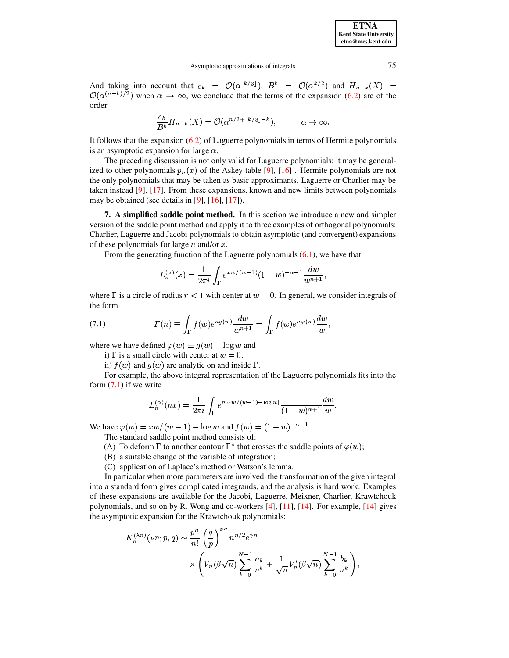| <b>ETNA</b>                  |
|------------------------------|
| <b>Kent State University</b> |
| etna@mcs.kent.edu            |

And taking into account that  $c_k = \mathcal{O}(\alpha^{\lfloor k/3 \rfloor})$ ,  $B^k = \mathcal{O}(\alpha^{k/2})$  and  $H_{n-k}(X) =$  $\mathcal{O}(\alpha^{(n-k)/2})$  when  $\alpha \to \infty$ , we conclude that the terms of the expansion (6.2) are of the order

$$
\frac{c_k}{B^k}H_{n-k}(X)=\mathcal{O}(\alpha^{n/2+\lfloor k/3\rfloor-k}),\qquad \alpha\to\infty.
$$

It follows that the expansion  $(6.2)$  of Laguerre polynomials in terms of Hermite polynomials is an asymptotic expansion for large  $\alpha$ .

The preceding discussion is not only valid for Laguerre polynomials; it may be generalized to other polynomials  $p_n(x)$  of the Askey table [9], [16]. Hermite polynomials are not the only polynomials that may be taken as basic approximants. Laguerre or Charlier may be taken instead  $[9]$ ,  $[17]$ . From these expansions, known and new limits between polynomials may be obtained (see details in  $[9]$ ,  $[16]$ ,  $[17]$ ).

7. A simplified saddle point method. In this section we introduce a new and simpler version of the saddle point method and apply it to three examples of orthogonal polynomials: Charlier, Laguerre and Jacobi polynomials to obtain asymptotic (and convergent) expansions of these polynomials for large  $n$  and/or  $x$ .

From the generating function of the Laguerre polynomials  $(6.1)$ , we have that

$$
L_n^{(\alpha)}(x) = \frac{1}{2\pi i} \int_{\Gamma} e^{xw/(w-1)} (1-w)^{-\alpha-1} \frac{dw}{w^{n+1}}
$$

where  $\Gamma$  is a circle of radius  $r < 1$  with center at  $w = 0$ . In general, we consider integrals of the form

<span id="page-17-0"></span>(7.1) 
$$
F(n) \equiv \int_{\Gamma} f(w)e^{ng(w)} \frac{dw}{w^{n+1}} = \int_{\Gamma} f(w)e^{n\varphi(w)} \frac{dw}{w},
$$

where we have defined  $\varphi(w) \equiv g(w) - \log w$  and

i)  $\Gamma$  is a small circle with center at  $w = 0$ .

ii)  $f(w)$  and  $g(w)$  are analytic on and inside  $\Gamma$ .

For example, the above integral representation of the Laguerre polynomials fits into the form  $(7.1)$  if we write

$$
L_n^{(\alpha)}(nx) = \frac{1}{2\pi i} \int_{\Gamma} e^{n[xw/(w-1) - \log w]} \frac{1}{(1-w)^{\alpha+1}} \frac{dw}{w}.
$$

We have  $\varphi(w) = xw/(w-1) - \log w$  and  $f(w) = (1-w)^{-\alpha-1}$ . The standard saddle point method consists of:

- (A) To deform  $\Gamma$  to another contour  $\Gamma^*$  that crosses the saddle points of  $\varphi(w)$ ;
- (B) a suitable change of the variable of integration;
- (C) application of Laplace's method or Watson's lemma.

In particular when more parameters are involved, the transformation of the given integral into a standard form gives complicated integrands, and the analysis is hard work. Examples of these expansions are available for the Jacobi, Laguerre, Meixner, Charlier, Krawtchouk polynomials, and so on by R. Wong and co-workers [4], [11], [14]. For example, [14] gives the asymptotic expansion for the Krawtchouk polynomials:

$$
K_n^{(\lambda n)}(\nu n; p, q) \sim \frac{p^n}{n!} \left(\frac{q}{p}\right)^{\nu n} n^{n/2} e^{\gamma n}
$$

$$
\times \left(V_n(\beta \sqrt{n}) \sum_{k=0}^{N-1} \frac{a_k}{n^k} + \frac{1}{\sqrt{n}} V'_n(\beta \sqrt{n}) \sum_{k=0}^{N-1} \frac{b_k}{n^k}\right)
$$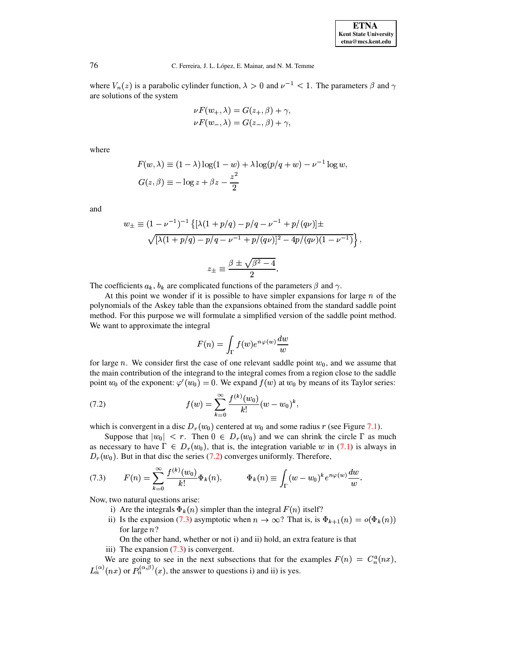| <b>ETNA</b>                  |
|------------------------------|
| <b>Kent State University</b> |
| etna@mcs.kent.edu            |

where  $V_n(z)$  is a parabolic cylinder function,  $\lambda > 0$  and  $\nu^{-1} < 1$ . The parameters  $\beta$  and  $\gamma$ are solutions of the system

$$
\nu F(w_+, \lambda) = G(z_+, \beta) + \gamma,
$$
  

$$
\nu F(w_-, \lambda) = G(z_-, \beta) + \gamma,
$$

where

$$
F(w, \lambda) \equiv (1 - \lambda) \log(1 - w) + \lambda \log(p/q + w) - \nu^{-1} \log w,
$$
  

$$
G(z, \beta) \equiv -\log z + \beta z - \frac{z^2}{2}
$$

and

$$
w_{\pm} \equiv (1 - \nu^{-1})^{-1} \left\{ [\lambda(1 + p/q) - p/q - \nu^{-1} + p/(qv)] \pm \sqrt{[\lambda(1 + p/q) - p/q - \nu^{-1} + p/(qv)]^2 - 4p/(qv)(1 - \nu^{-1})} \right\},
$$
  

$$
z_{\pm} \equiv \frac{\beta \pm \sqrt{\beta^2 - 4}}{2}.
$$

The coefficients  $a_k$ ,  $b_k$  are complicated functions of the parameters  $\beta$  and  $\gamma$ .

At this point we wonder if it is possible to have simpler expansions for large  $n$  of the polynomials of the Askey table than the expansions obtained from the standard saddle point method. For this purpose we will formulate a simplified version of the saddle point method. We want to approximate the integral

$$
F(n) = \int_{\Gamma} f(w)e^{n\varphi(w)} \frac{dw}{w}
$$

for large n. We consider first the case of one relevant saddle point  $w_0$ , and we assume that the main contribution of the integrand to the integral comes from a region close to the saddle point  $w_0$  of the exponent:  $\varphi'(w_0) = 0$ . We expand  $f(w)$  at  $w_0$  by means of its Taylor series:

<span id="page-18-0"></span>(7.2) 
$$
f(w) = \sum_{k=0}^{\infty} \frac{f^{(k)}(w_0)}{k!} (w - w_0)^k
$$

which is convergent in a disc  $D_r(w_0)$  centered at  $w_0$  and some radius r (see Figure 7.1).

Suppose that  $|w_0| < r$ . Then  $0 \in D_r(w_0)$  and we can shrink the circle  $\Gamma$  as much as necessary to have  $\Gamma \in D_r(w_0)$ , that is, the integration variable w in (7.1) is always in  $D_r(w_0)$ . But in that disc the series (7.2) converges uniformly. Therefore,

<span id="page-18-1"></span>(7.3) 
$$
F(n) = \sum_{k=0}^{\infty} \frac{f^{(k)}(w_0)}{k!} \Phi_k(n), \qquad \Phi_k(n) \equiv \int_{\Gamma} (w - w_0)^k e^{n\varphi(w)} \frac{dw}{w}.
$$

Now, two natural questions arise:

- i) Are the integrals  $\Phi_k(n)$  simpler than the integral  $F(n)$  itself?
- ii) Is the expansion (7.3) asymptotic when  $n \to \infty$ ? That is, is  $\Phi_{k+1}(n) = o(\Phi_k(n))$ for large  $n$ ?

On the other hand, whether or not i) and ii) hold, an extra feature is that

iii) The expansion  $(7.3)$  is convergent.

We are going to see in the next subsections that for the examples  $F(n) = C_n^a(nx)$ ,  $L_n^{(\alpha)}(nx)$  or  $P_n^{(\alpha,\beta)}(x)$ , the answer to questions i) and ii) is yes.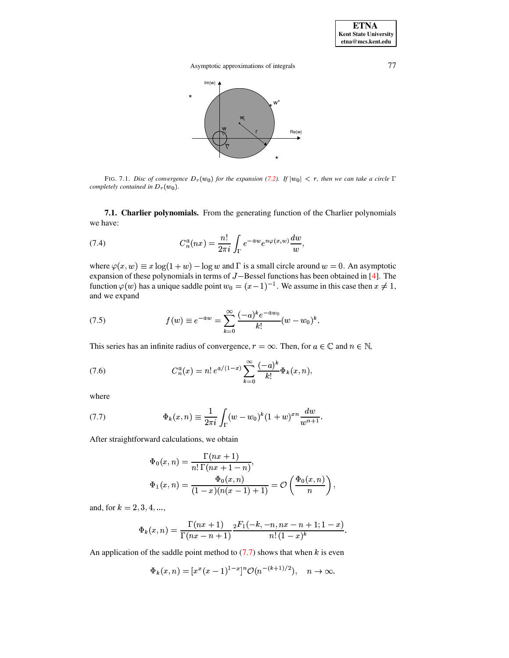

<span id="page-19-0"></span>FIG. 7.1. Disc of convergence  $D_r(w_0)$  for the expansion (7.2). If  $|w_0| < r$ , then we can take a circle  $\Gamma$ completely contained in  $D_r(w_0)$ .

7.1. Charlier polynomials. From the generating function of the Charlier polynomials we have:

(7.4) 
$$
C_n^a(nx) = \frac{n!}{2\pi i} \int_{\Gamma} e^{-aw} e^{n\varphi(x,w)} \frac{dw}{w},
$$

where  $\varphi(x, w) \equiv x \log(1 + w) - \log w$  and  $\Gamma$  is a small circle around  $w = 0$ . An asymptotic expansion of these polynomials in terms of  $J$  – Bessel functions has been obtained in [4]. The function  $\varphi(w)$  has a unique saddle point  $w_0 = (x-1)^{-1}$ . We assume in this case then  $x \neq 1$ , and we expand

(7.5) 
$$
f(w) \equiv e^{-aw} = \sum_{k=0}^{\infty} \frac{(-a)^k e^{-aw_0}}{k!} (w - w_0)^k.
$$

This series has an infinite radius of convergence,  $r = \infty$ . Then, for  $a \in \mathbb{C}$  and  $n \in \mathbb{N}$ ,

<span id="page-19-2"></span>(7.6) 
$$
C_n^a(x) = n! e^{a/(1-x)} \sum_{k=0}^{\infty} \frac{(-a)^k}{k!} \Phi_k(x, n),
$$

where

<span id="page-19-1"></span>(7.7) 
$$
\Phi_k(x,n) \equiv \frac{1}{2\pi i} \int_{\Gamma} (w - w_0)^k (1+w)^{xn} \frac{dw}{w^{n+1}}.
$$

After straightforward calculations, we obtain

$$
\Phi_0(x,n) = \frac{\Gamma(nx+1)}{n!\,\Gamma(nx+1-n)},
$$
  

$$
\Phi_1(x,n) = \frac{\Phi_0(x,n)}{(1-x)(n(x-1)+1)} = \mathcal{O}\left(\frac{\Phi_0(x,n)}{n}\right),
$$

and, for  $k = 2, 3, 4, ...,$ 

$$
\Phi_k(x,n) = \frac{\Gamma(nx+1)}{\Gamma(nx-n+1)} \frac{{}_2F_1(-k,-n,nx-n+1;1-x)}{n!\,(1-x)^k}.
$$

An application of the saddle point method to  $(7.7)$  shows that when k is even

$$
\Phi_k(x,n) = [x^x(x-1)^{1-x}]^n \mathcal{O}(n^{-(k+1)/2}), \quad n \to \infty.
$$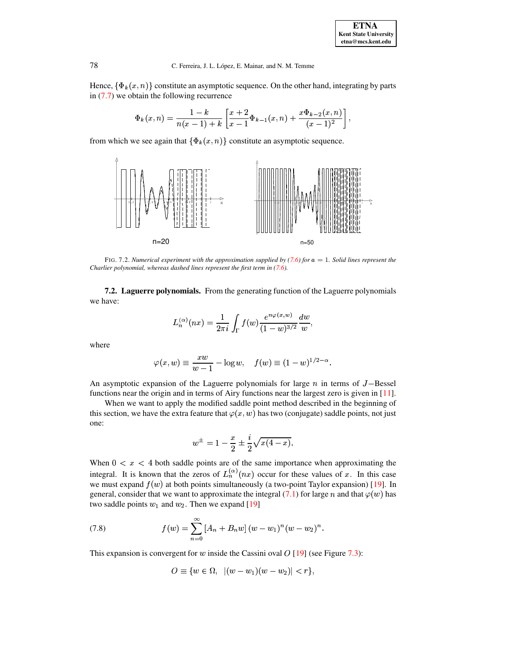Hence,  $\{\Phi_k(x,n)\}\$ constitute an asymptotic sequence. On the other hand, integrating by parts in  $(7.7)$  we obtain the following recurrence

$$
\Phi_k(x,n) = \frac{1-k}{n(x-1)+k} \left[ \frac{x+2}{x-1} \Phi_{k-1}(x,n) + \frac{x \Phi_{k-2}(x,n)}{(x-1)^2} \right]
$$

from which we see again that  $\{\Phi_k(x, n)\}\$ constitute an asymptotic sequence.



<span id="page-20-0"></span>FIG. 7.2. Numerical experiment with the approximation supplied by (7.6) for  $a = 1$ . Solid lines represent the Charlier polynomial, whereas dashed lines represent the first term in  $(7.6)$ .

**7.2. Laguerre polynomials.** From the generating function of the Laguerre polynomials we have:

$$
L_n^{(\alpha)}(nx) = \frac{1}{2\pi i} \int_{\Gamma} f(w) \frac{e^{n\varphi(x,w)}}{(1-w)^{3/2}} \frac{dw}{w},
$$

where

$$
\varphi(x, w) \equiv \frac{xw}{w-1} - \log w, \quad f(w) \equiv (1-w)^{1/2-\alpha}.
$$

An asymptotic expansion of the Laguerre polynomials for large  $n$  in terms of  $J$ –Bessel functions near the origin and in terms of Airy functions near the largest zero is given in [11].

When we want to apply the modified saddle point method described in the beginning of this section, we have the extra feature that  $\varphi(x, w)$  has two (conjugate) saddle points, not just one:

$$
w^{\pm} = 1 - \frac{x}{2} \pm \frac{i}{2} \sqrt{x(4-x)}.
$$

When  $0 < x < 4$  both saddle points are of the same importance when approximating the integral. It is known that the zeros of  $L_n^{(\alpha)}(nx)$  occur for these values of x. In this case we must expand  $f(w)$  at both points simultaneously (a two-point Taylor expansion) [19]. In general, consider that we want to approximate the integral (7.1) for large n and that  $\varphi(w)$  has two saddle points  $w_1$  and  $w_2$ . Then we expand [19]

<span id="page-20-1"></span>(7.8) 
$$
f(w) = \sum_{n=0}^{\infty} \left[ A_n + B_n w \right] (w - w_1)^n (w - w_2)^n.
$$

This expansion is convergent for w inside the Cassini oval  $O$  [19] (see Figure 7.3):

$$
O \equiv \{ w \in \Omega, \ |(w - w_1)(w - w_2)| < r \},
$$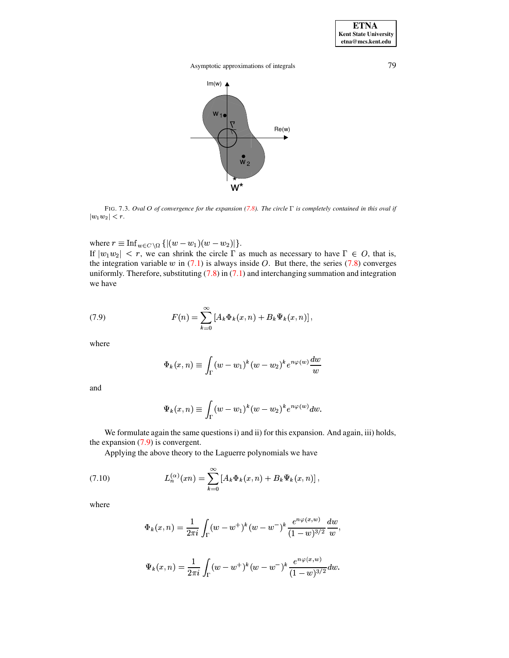

<span id="page-21-0"></span>FIG. 7.3. Oval O of convergence for the expansion (7.8). The circle  $\Gamma$  is completely contained in this oval if  $|w_1w_2| < r.$ 

where  $r \equiv \text{Inf}_{w \in C \setminus \Omega} \{ |(w - w_1)(w - w_2)| \}.$ 

If  $|w_1w_2| < r$ , we can shrink the circle  $\Gamma$  as much as necessary to have  $\Gamma \in O$ , that is, the integration variable  $w$  in (7.1) is always inside  $O$ . But there, the series (7.8) converges uniformly. Therefore, substituting  $(7.8)$  in  $(7.1)$  and interchanging summation and integration we have

<span id="page-21-1"></span>(7.9) 
$$
F(n) = \sum_{k=0}^{\infty} [A_k \Phi_k(x, n) + B_k \Psi_k(x, n)]
$$

where

$$
\Phi_k(x,n) \equiv \int_{\Gamma} (w - w_1)^k (w - w_2)^k e^{n\varphi(w)} \frac{dw}{w}
$$

and

$$
\Psi_k(x,n) \equiv \int_{\Gamma} (w-w_1)^k (w-w_2)^k e^{n\varphi(w)} dw.
$$

We formulate again the same questions i) and ii) for this expansion. And again, iii) holds, the expansion  $(7.9)$  is convergent.

Applying the above theory to the Laguerre polynomials we have

 $\overline{a}$ 

<span id="page-21-2"></span>(7.10) 
$$
L_n^{(\alpha)}(xn) = \sum_{k=0}^{\infty} [A_k \Phi_k(x,n) + B_k \Psi_k(x,n)],
$$

where

$$
\Phi_k(x, n) = \frac{1}{2\pi i} \int_{\Gamma} (w - w^+)^k (w - w^-)^k \frac{e^{n\varphi(x, w)}}{(1 - w)^{3/2}} \frac{dw}{w},
$$
  

$$
\Psi_k(x, n) = \frac{1}{2\pi i} \int_{\Gamma} (w - w^+)^k (w - w^-)^k \frac{e^{n\varphi(x, w)}}{(1 - w)^{3/2}} dw.
$$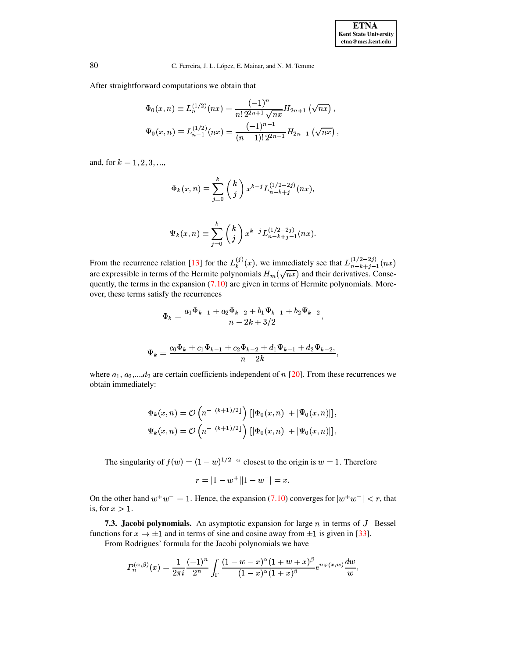After straightforward computations we obtain that

$$
\Phi_0(x,n) \equiv L_n^{(1/2)}(nx) = \frac{(-1)^n}{n! \, 2^{2n+1} \sqrt{nx}} H_{2n+1}(\sqrt{nx}),
$$
  

$$
\Psi_0(x,n) \equiv L_{n-1}^{(1/2)}(nx) = \frac{(-1)^{n-1}}{(n-1)! \, 2^{2n-1}} H_{2n-1}(\sqrt{nx}),
$$

and, for  $k = 1, 2, 3, ...,$ 

$$
\Phi_k(x, n) \equiv \sum_{j=0}^k {k \choose j} x^{k-j} L_{n-k+j}^{(1/2-2j)}(nx),
$$

$$
\Psi_k(x,n) \equiv \sum_{j=0}^k \left( k \atop j \right) x^{k-j} L_{n-k+j-1}^{(1/2-2j)}(nx).
$$

From the recurrence relation [13] for the  $L_k^{(j)}(x)$ , we immediately see that  $L_{n-k+j-1}^{(1/2-2j)}(nx)$ are expressible in terms of the Hermite polynomials  $H_m(\sqrt{nx})$  and their derivatives. Consequently, the terms in the expansion  $(7.10)$  are given in terms of Hermite polynomials. Moreover, these terms satisfy the recurrences

$$
\Phi_k = \frac{a_1 \Phi_{k-1} + a_2 \Phi_{k-2} + b_1 \Psi_{k-1} + b_2 \Psi_{k-2}}{n - 2k + 3/2},
$$

$$
\Psi_k = \frac{c_0 \Phi_k + c_1 \Phi_{k-1} + c_2 \Phi_{k-2} + d_1 \Psi_{k-1} + d_2 \Psi_{k-2}}{n - 2k},
$$

where  $a_1, a_2,...,d_2$  are certain coefficients independent of n [20]. From these recurrences we obtain immediately:

$$
\Phi_k(x,n) = \mathcal{O}\left(n^{-\lfloor (k+1)/2 \rfloor}\right) \left[ \left| \Phi_0(x,n) \right| + \left| \Psi_0(x,n) \right| \right],
$$
  

$$
\Psi_k(x,n) = \mathcal{O}\left(n^{-\lfloor (k+1)/2 \rfloor}\right) \left[ \left| \Phi_0(x,n) \right| + \left| \Psi_0(x,n) \right| \right],
$$

The singularity of  $f(w) = (1 - w)^{1/2 - \alpha}$  closest to the origin is  $w = 1$ . Therefore

$$
r = |1 - w^+||1 - w^-| = x
$$

On the other hand  $w^+w^- = 1$ . Hence, the expansion (7.10) converges for  $|w^+w^-| < r$ , that is, for  $x > 1$ .

**7.3. Jacobi polynomials.** An asymptotic expansion for large  $n$  in terms of  $J$ –Bessel functions for  $x \to \pm 1$  and in terms of sine and cosine away from  $\pm 1$  is given in [33].

From Rodrigues' formula for the Jacobi polynomials we have

$$
P_n^{(\alpha,\beta)}(x) = \frac{1}{2\pi i} \frac{(-1)^n}{2^n} \int_{\Gamma} \frac{(1-w-x)^{\alpha}(1+w+x)^{\beta}}{(1-x)^{\alpha}(1+x)^{\beta}} e^{n\varphi(x,w)} \frac{dw}{w},
$$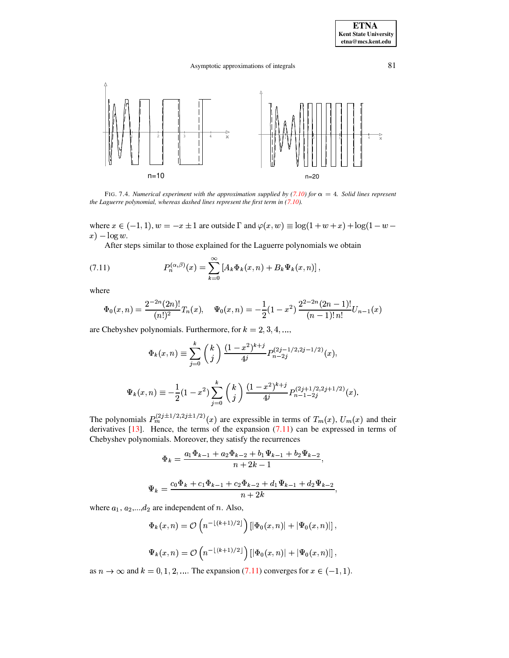

<span id="page-23-0"></span>FIG. 7.4. Numerical experiment with the approximation supplied by (7.10) for  $\alpha = 4$ . Solid lines represent the Laguerre polynomial, whereas dashed lines represent the first term in  $(7.10)$ .

where  $x \in (-1, 1)$ ,  $w = -x \pm 1$  are outside  $\Gamma$  and  $\varphi(x, w) \equiv \log(1 + w + x) + \log(1 - w - x)$  $x$ ) –  $\log w$ .

After steps similar to those explained for the Laguerre polynomials we obtain

<span id="page-23-1"></span>(7.11) 
$$
P_n^{(\alpha,\beta)}(x) = \sum_{k=0}^{\infty} [A_k \Phi_k(x,n) + B_k \Psi_k(x,n)],
$$

where

$$
\Phi_0(x,n) = \frac{2^{-2n}(2n)!}{(n!)^2} T_n(x), \quad \Psi_0(x,n) = -\frac{1}{2}(1-x^2)\frac{2^{2-2n}(2n-1)!}{(n-1)!n!} U_{n-1}(x)
$$

are Chebyshev polynomials. Furthermore, for  $k = 2, 3, 4, ...$ ,

$$
\Phi_k(x,n) \equiv \sum_{j=0}^k \binom{k}{j} \frac{(1-x^2)^{k+j}}{4^j} P_{n-2j}^{(2j-1/2,2j-1/2)}(x),
$$
  

$$
\Psi_k(x,n) \equiv -\frac{1}{2}(1-x^2) \sum_{j=0}^k \binom{k}{j} \frac{(1-x^2)^{k+j}}{4^j} P_{n-1-2j}^{(2j+1/2,2j+1/2)}(x).
$$

The polynomials  $P_m^{(2j\pm 1/2,2j\pm 1/2)}(x)$  are expressible in terms of  $T_m(x)$ ,  $U_m(x)$  and their derivatives  $[13]$ . Hence, the terms of the expansion  $(7.11)$  can be expressed in terms of Chebyshev polynomials. Moreover, they satisfy the recurrences

$$
\Phi_k = \frac{a_1 \Phi_{k-1} + a_2 \Phi_{k-2} + b_1 \Psi_{k-1} + b_2 \Psi_{k-2}}{n + 2k - 1},
$$
  

$$
\Psi_k = \frac{c_0 \Phi_k + c_1 \Phi_{k-1} + c_2 \Phi_{k-2} + d_1 \Psi_{k-1} + d_2 \Psi_{k-2}}{n + 2k},
$$

where  $a_1, a_2, \dots, a_2$  are independent of *n*. Also,

$$
\Phi_k(x,n) = \mathcal{O}\left(n^{-\lfloor (k+1)/2 \rfloor}\right) \left[ \left| \Phi_0(x,n) \right| + \left| \Psi_0(x,n) \right| \right],
$$
  

$$
\Psi_k(x,n) = \mathcal{O}\left(n^{-\lfloor (k+1)/2 \rfloor}\right) \left[ \left| \Phi_0(x,n) \right| + \left| \Psi_0(x,n) \right| \right],
$$

as  $n \to \infty$  and  $k = 0, 1, 2, ...$  The expansion (7.11) converges for  $x \in (-1, 1)$ .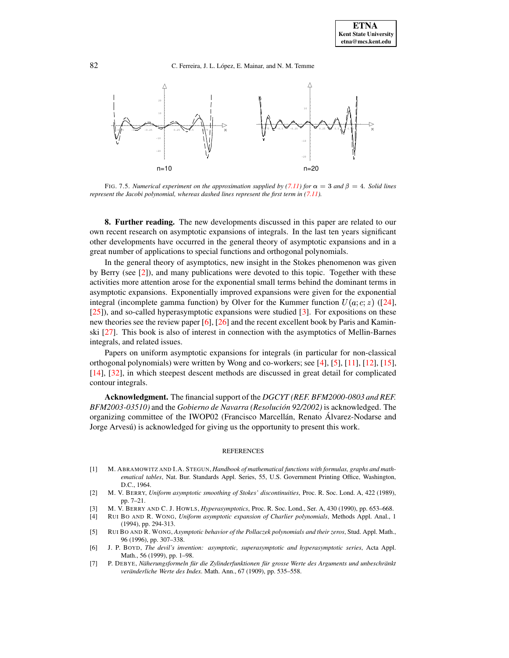

<span id="page-24-1"></span>FIG. 7.5. *Numerical experiment on the approximation supplied by [\(7.11\)](#page-23-1) for*  $\alpha = 3$  *and*  $\beta = 4$ *. Solid lines represent the Jacobi polynomial, whereas dashed lines represent the first term in [\(7.11\)](#page-23-1).*

**8. Further reading.** The new developments discussed in this paper are related to our own recent research on asymptotic expansions of integrals. In the last ten years significant other developments have occurred in the general theory of asymptotic expansions and in a great number of applications to special functions and orthogonal polynomials.

In the general theory of asymptotics, new insight in the Stokes phenomenon was given by Berry (see [\[2\]](#page-24-3)), and many publications were devoted to this topic. Together with these activities more attention arose for the exponential small terms behind the dominant terms in asymptotic expansions. Exponentially improved expansions were given for the exponential integral (incomplete gamma function) by Olver for the Kummer function  $U(a; c; z)$  ([\[24\]](#page-25-20), [\[25\]](#page-25-21)), and so-called hyperasymptotic expansions were studied [\[3\]](#page-24-4). For expositions on these new theories see the review paper  $[6]$ ,  $[26]$  and the recent excellent book by Paris and Kaminski [\[27\]](#page-25-9). This book is also of interest in connection with the asymptotics of Mellin-Barnes integrals, and related issues.

Papers on uniform asymptotic expansions for integrals (in particular for non-classical orthogonal polynomials) were written by Wong and co-workers; see [\[4\]](#page-24-2), [\[5\]](#page-24-6), [\[11\]](#page-25-14), [\[12\]](#page-25-23), [\[15\]](#page-25-24), [\[14\]](#page-25-15), [\[32\]](#page-25-25), in which steepest descent methods are discussed in great detail for complicated contour integrals.

**Acknowledgment.** The financial support of the *DGCYT (REF. BFM2000-0803 and REF. BFM2003-03510)* and the *Gobierno de Navarra (Resolucion´ 92/2002)* is acknowledged. The organizing committee of the IWOP02 (Francisco Marcellán, Renato Álvarez-Nodarse and Jorge Arvesu) is acknowledged for giving us the opportunity to present this work.

### REFERENCES

- <span id="page-24-0"></span>[1] M. ABRAMOWITZ AND I.A. STEGUN, *Handbook of mathematical functions with formulas, graphs and mathematical tables*, Nat. Bur. Standards Appl. Series, 55, U.S. Government Printing Office, Washington, D.C., 1964.
- <span id="page-24-3"></span>[2] M. V. BERRY, *Uniform asymptotic smoothing of Stokes' discontinuities*, Proc. R. Soc. Lond. A, 422 (1989), pp. 7–21.
- <span id="page-24-4"></span>[3] M. V. BERRY AND C. J. HOWLS, *Hyperasymptotics*, Proc. R. Soc. Lond., Ser. A, 430 (1990), pp. 653–668.
- <span id="page-24-2"></span>[4] RUI BO AND R. WONG, *Uniform asymptotic expansion of Charlier polynomials*, Methods Appl. Anal., 1 (1994), pp. 294-313.
- <span id="page-24-6"></span>[5] RUI BO AND R. WONG, *Asymptotic behavior of the Pollaczek polynomials and their zeros*, Stud. Appl. Math., 96 (1996), pp. 307–338.
- <span id="page-24-5"></span>[6] J. P. BOYD, *The devil's invention: asymptotic, superasymptotic and hyperasymptotic series*, Acta Appl. Math., 56 (1999), pp. 1–98.
- [7] P. DEBYE, *Naherungsformeln ¨ fur¨ die Zylinderfunktionen fur¨ grosse Werte des Arguments und unbeschrankt ¨ veränderliche Werte des Index. Math. Ann., 67 (1909), pp. 535-558.*